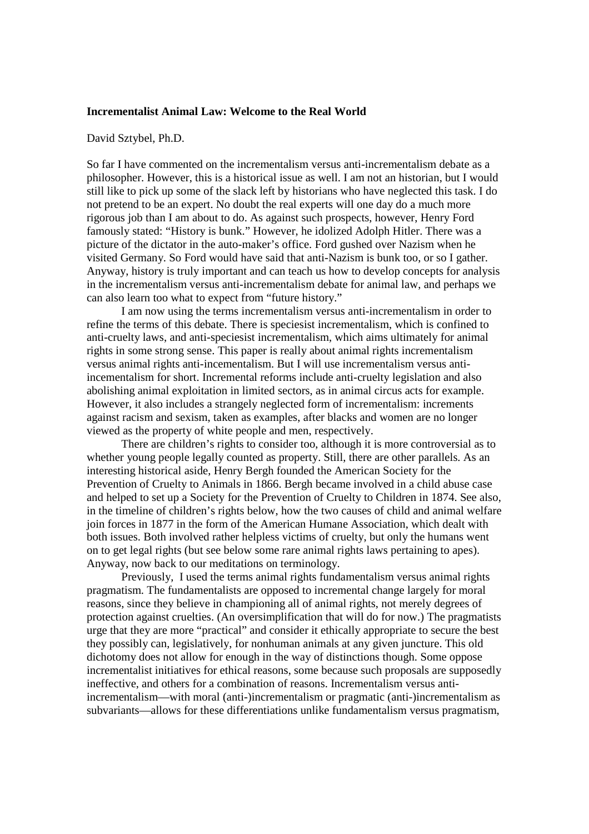#### **Incrementalist Animal Law: Welcome to the Real World**

#### David Sztybel, Ph.D.

So far I have commented on the incrementalism versus anti-incrementalism debate as a philosopher. However, this is a historical issue as well. I am not an historian, but I would still like to pick up some of the slack left by historians who have neglected this task. I do not pretend to be an expert. No doubt the real experts will one day do a much more rigorous job than I am about to do. As against such prospects, however, Henry Ford famously stated: "History is bunk." However, he idolized Adolph Hitler. There was a picture of the dictator in the auto-maker's office. Ford gushed over Nazism when he visited Germany. So Ford would have said that anti-Nazism is bunk too, or so I gather. Anyway, history is truly important and can teach us how to develop concepts for analysis in the incrementalism versus anti-incrementalism debate for animal law, and perhaps we can also learn too what to expect from "future history."

 I am now using the terms incrementalism versus anti-incrementalism in order to refine the terms of this debate. There is speciesist incrementalism, which is confined to anti-cruelty laws, and anti-speciesist incrementalism, which aims ultimately for animal rights in some strong sense. This paper is really about animal rights incrementalism versus animal rights anti-incementalism. But I will use incrementalism versus antiincementalism for short. Incremental reforms include anti-cruelty legislation and also abolishing animal exploitation in limited sectors, as in animal circus acts for example. However, it also includes a strangely neglected form of incrementalism: increments against racism and sexism, taken as examples, after blacks and women are no longer viewed as the property of white people and men, respectively.

 There are children's rights to consider too, although it is more controversial as to whether young people legally counted as property. Still, there are other parallels. As an interesting historical aside, Henry Bergh founded the American Society for the Prevention of Cruelty to Animals in 1866. Bergh became involved in a child abuse case and helped to set up a Society for the Prevention of Cruelty to Children in 1874. See also, in the timeline of children's rights below, how the two causes of child and animal welfare join forces in 1877 in the form of the American Humane Association, which dealt with both issues. Both involved rather helpless victims of cruelty, but only the humans went on to get legal rights (but see below some rare animal rights laws pertaining to apes). Anyway, now back to our meditations on terminology.

 Previously, I used the terms animal rights fundamentalism versus animal rights pragmatism. The fundamentalists are opposed to incremental change largely for moral reasons, since they believe in championing all of animal rights, not merely degrees of protection against cruelties. (An oversimplification that will do for now.) The pragmatists urge that they are more "practical" and consider it ethically appropriate to secure the best they possibly can, legislatively, for nonhuman animals at any given juncture. This old dichotomy does not allow for enough in the way of distinctions though. Some oppose incrementalist initiatives for ethical reasons, some because such proposals are supposedly ineffective, and others for a combination of reasons. Incrementalism versus antiincrementalism—with moral (anti-)incrementalism or pragmatic (anti-)incrementalism as subvariants—allows for these differentiations unlike fundamentalism versus pragmatism,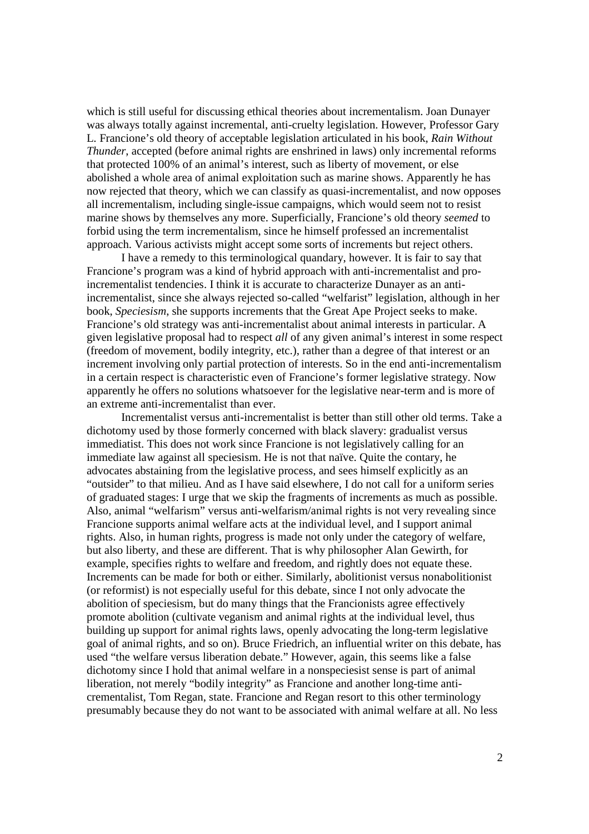which is still useful for discussing ethical theories about incrementalism. Joan Dunayer was always totally against incremental, anti-cruelty legislation. However, Professor Gary L. Francione's old theory of acceptable legislation articulated in his book, *Rain Without Thunder*, accepted (before animal rights are enshrined in laws) only incremental reforms that protected 100% of an animal's interest, such as liberty of movement, or else abolished a whole area of animal exploitation such as marine shows. Apparently he has now rejected that theory, which we can classify as quasi-incrementalist, and now opposes all incrementalism, including single-issue campaigns, which would seem not to resist marine shows by themselves any more. Superficially, Francione's old theory *seemed* to forbid using the term incrementalism, since he himself professed an incrementalist approach. Various activists might accept some sorts of increments but reject others.

 I have a remedy to this terminological quandary, however. It is fair to say that Francione's program was a kind of hybrid approach with anti-incrementalist and proincrementalist tendencies. I think it is accurate to characterize Dunayer as an antiincrementalist, since she always rejected so-called "welfarist" legislation, although in her book, *Speciesism*, she supports increments that the Great Ape Project seeks to make. Francione's old strategy was anti-incrementalist about animal interests in particular. A given legislative proposal had to respect *all* of any given animal's interest in some respect (freedom of movement, bodily integrity, etc.), rather than a degree of that interest or an increment involving only partial protection of interests. So in the end anti-incrementalism in a certain respect is characteristic even of Francione's former legislative strategy. Now apparently he offers no solutions whatsoever for the legislative near-term and is more of an extreme anti-incrementalist than ever.

 Incrementalist versus anti-incrementalist is better than still other old terms. Take a dichotomy used by those formerly concerned with black slavery: gradualist versus immediatist. This does not work since Francione is not legislatively calling for an immediate law against all speciesism. He is not that naïve. Quite the contary, he advocates abstaining from the legislative process, and sees himself explicitly as an "outsider" to that milieu. And as I have said elsewhere, I do not call for a uniform series of graduated stages: I urge that we skip the fragments of increments as much as possible. Also, animal "welfarism" versus anti-welfarism/animal rights is not very revealing since Francione supports animal welfare acts at the individual level, and I support animal rights. Also, in human rights, progress is made not only under the category of welfare, but also liberty, and these are different. That is why philosopher Alan Gewirth, for example, specifies rights to welfare and freedom, and rightly does not equate these. Increments can be made for both or either. Similarly, abolitionist versus nonabolitionist (or reformist) is not especially useful for this debate, since I not only advocate the abolition of speciesism, but do many things that the Francionists agree effectively promote abolition (cultivate veganism and animal rights at the individual level, thus building up support for animal rights laws, openly advocating the long-term legislative goal of animal rights, and so on). Bruce Friedrich, an influential writer on this debate, has used "the welfare versus liberation debate." However, again, this seems like a false dichotomy since I hold that animal welfare in a nonspeciesist sense is part of animal liberation, not merely "bodily integrity" as Francione and another long-time anticrementalist, Tom Regan, state. Francione and Regan resort to this other terminology presumably because they do not want to be associated with animal welfare at all. No less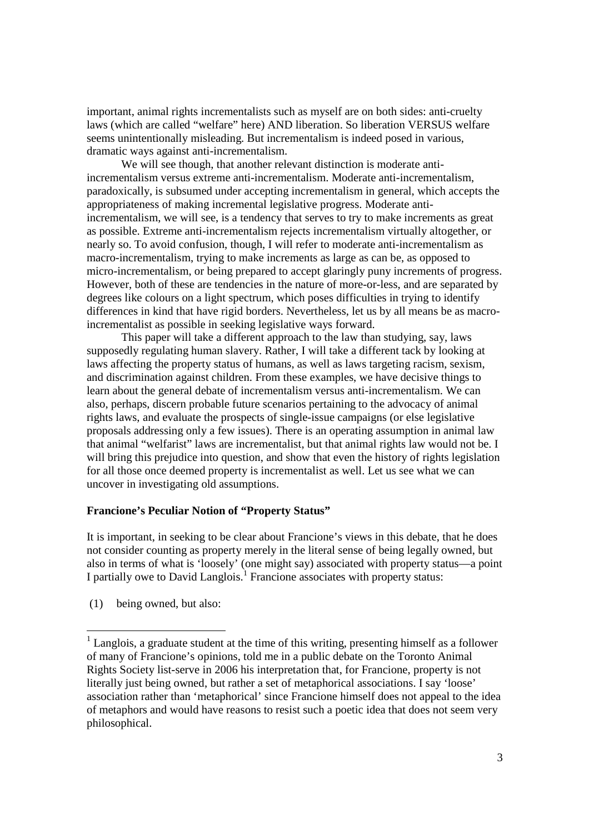important, animal rights incrementalists such as myself are on both sides: anti-cruelty laws (which are called "welfare" here) AND liberation. So liberation VERSUS welfare seems unintentionally misleading. But incrementalism is indeed posed in various, dramatic ways against anti-incrementalism.

 We will see though, that another relevant distinction is moderate antiincrementalism versus extreme anti-incrementalism. Moderate anti-incrementalism, paradoxically, is subsumed under accepting incrementalism in general, which accepts the appropriateness of making incremental legislative progress. Moderate antiincrementalism, we will see, is a tendency that serves to try to make increments as great as possible. Extreme anti-incrementalism rejects incrementalism virtually altogether, or nearly so. To avoid confusion, though, I will refer to moderate anti-incrementalism as macro-incrementalism, trying to make increments as large as can be, as opposed to micro-incrementalism, or being prepared to accept glaringly puny increments of progress. However, both of these are tendencies in the nature of more-or-less, and are separated by degrees like colours on a light spectrum, which poses difficulties in trying to identify differences in kind that have rigid borders. Nevertheless, let us by all means be as macroincrementalist as possible in seeking legislative ways forward.

 This paper will take a different approach to the law than studying, say, laws supposedly regulating human slavery. Rather, I will take a different tack by looking at laws affecting the property status of humans, as well as laws targeting racism, sexism, and discrimination against children. From these examples, we have decisive things to learn about the general debate of incrementalism versus anti-incrementalism. We can also, perhaps, discern probable future scenarios pertaining to the advocacy of animal rights laws, and evaluate the prospects of single-issue campaigns (or else legislative proposals addressing only a few issues). There is an operating assumption in animal law that animal "welfarist" laws are incrementalist, but that animal rights law would not be. I will bring this prejudice into question, and show that even the history of rights legislation for all those once deemed property is incrementalist as well. Let us see what we can uncover in investigating old assumptions.

#### **Francione's Peculiar Notion of "Property Status"**

It is important, in seeking to be clear about Francione's views in this debate, that he does not consider counting as property merely in the literal sense of being legally owned, but also in terms of what is 'loosely' (one might say) associated with property status—a point I partially owe to David Langlois.<sup>1</sup> Francione associates with property status:

(1) being owned, but also:

-

 $<sup>1</sup>$  Langlois, a graduate student at the time of this writing, presenting himself as a follower</sup> of many of Francione's opinions, told me in a public debate on the Toronto Animal Rights Society list-serve in 2006 his interpretation that, for Francione, property is not literally just being owned, but rather a set of metaphorical associations. I say 'loose' association rather than 'metaphorical' since Francione himself does not appeal to the idea of metaphors and would have reasons to resist such a poetic idea that does not seem very philosophical.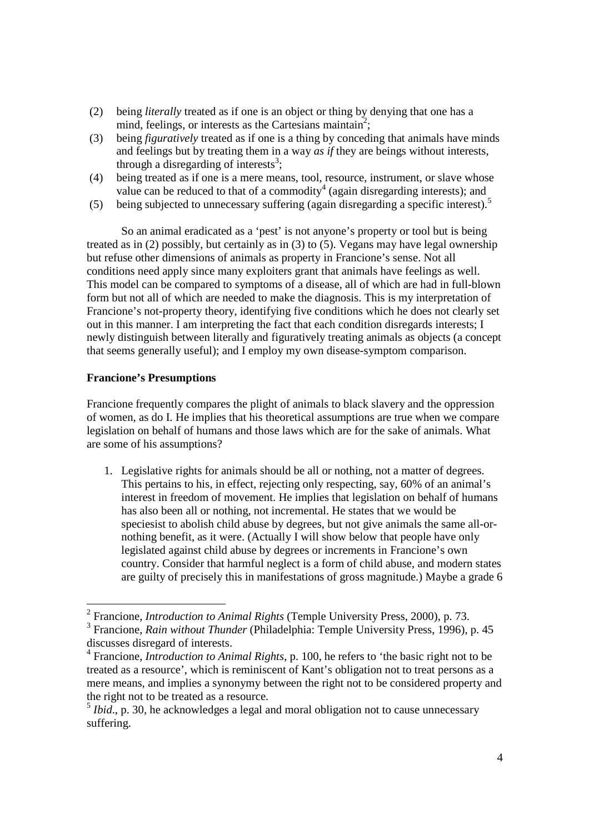- (2) being *literally* treated as if one is an object or thing by denying that one has a mind, feelings, or interests as the Cartesians maintain<sup>2</sup>;
- (3) being *figuratively* treated as if one is a thing by conceding that animals have minds and feelings but by treating them in a way *as if* they are beings without interests, through a disregarding of interests $3$ ;
- (4) being treated as if one is a mere means, tool, resource, instrument, or slave whose value can be reduced to that of a commodity<sup>4</sup> (again disregarding interests); and
- (5) being subjected to unnecessary suffering (again disregarding a specific interest).<sup>5</sup>

 So an animal eradicated as a 'pest' is not anyone's property or tool but is being treated as in (2) possibly, but certainly as in (3) to (5). Vegans may have legal ownership but refuse other dimensions of animals as property in Francione's sense. Not all conditions need apply since many exploiters grant that animals have feelings as well. This model can be compared to symptoms of a disease, all of which are had in full-blown form but not all of which are needed to make the diagnosis. This is my interpretation of Francione's not-property theory, identifying five conditions which he does not clearly set out in this manner. I am interpreting the fact that each condition disregards interests; I newly distinguish between literally and figuratively treating animals as objects (a concept that seems generally useful); and I employ my own disease-symptom comparison.

### **Francione's Presumptions**

Francione frequently compares the plight of animals to black slavery and the oppression of women, as do I. He implies that his theoretical assumptions are true when we compare legislation on behalf of humans and those laws which are for the sake of animals. What are some of his assumptions?

1. Legislative rights for animals should be all or nothing, not a matter of degrees. This pertains to his, in effect, rejecting only respecting, say, 60% of an animal's interest in freedom of movement. He implies that legislation on behalf of humans has also been all or nothing, not incremental. He states that we would be speciesist to abolish child abuse by degrees, but not give animals the same all-ornothing benefit, as it were. (Actually I will show below that people have only legislated against child abuse by degrees or increments in Francione's own country. Consider that harmful neglect is a form of child abuse, and modern states are guilty of precisely this in manifestations of gross magnitude.) Maybe a grade 6

 2 Francione, *Introduction to Animal Rights* (Temple University Press, 2000), p. 73. 3 Francione, *Rain without Thunder* (Philadelphia: Temple University Press, 1996), p. 45

discusses disregard of interests.

<sup>4</sup> Francione, *Introduction to Animal Rights*, p. 100, he refers to 'the basic right not to be treated as a resource', which is reminiscent of Kant's obligation not to treat persons as a mere means, and implies a synonymy between the right not to be considered property and the right not to be treated as a resource.

<sup>&</sup>lt;sup>5</sup> *Ibid.*, p. 30, he acknowledges a legal and moral obligation not to cause unnecessary suffering.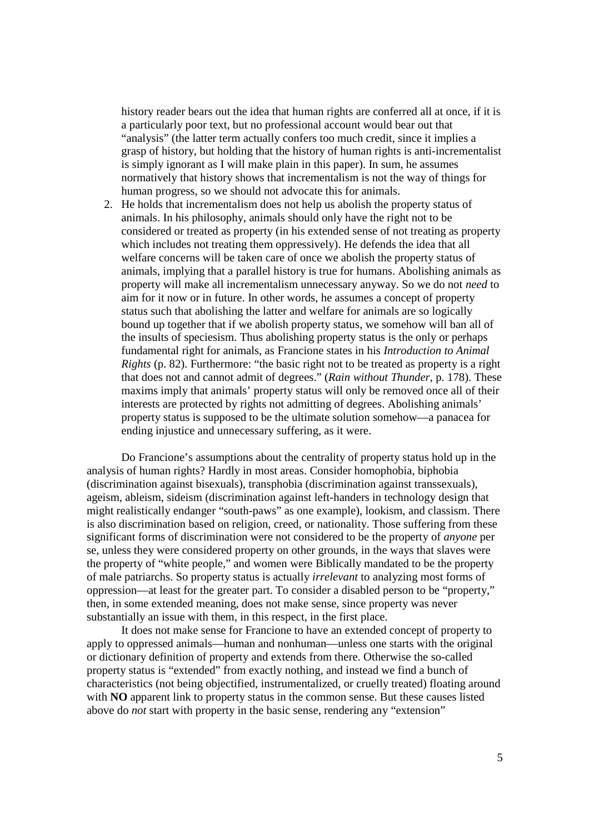history reader bears out the idea that human rights are conferred all at once, if it is a particularly poor text, but no professional account would bear out that "analysis" (the latter term actually confers too much credit, since it implies a grasp of history, but holding that the history of human rights is anti-incrementalist is simply ignorant as I will make plain in this paper). In sum, he assumes normatively that history shows that incrementalism is not the way of things for human progress, so we should not advocate this for animals.

2. He holds that incrementalism does not help us abolish the property status of animals. In his philosophy, animals should only have the right not to be considered or treated as property (in his extended sense of not treating as property which includes not treating them oppressively). He defends the idea that all welfare concerns will be taken care of once we abolish the property status of animals, implying that a parallel history is true for humans. Abolishing animals as property will make all incrementalism unnecessary anyway. So we do not *need* to aim for it now or in future. In other words, he assumes a concept of property status such that abolishing the latter and welfare for animals are so logically bound up together that if we abolish property status, we somehow will ban all of the insults of speciesism. Thus abolishing property status is the only or perhaps fundamental right for animals, as Francione states in his *Introduction to Animal Rights* (p. 82). Furthermore: "the basic right not to be treated as property is a right that does not and cannot admit of degrees." (*Rain without Thunder*, p. 178). These maxims imply that animals' property status will only be removed once all of their interests are protected by rights not admitting of degrees. Abolishing animals' property status is supposed to be the ultimate solution somehow—a panacea for ending injustice and unnecessary suffering, as it were.

 Do Francione's assumptions about the centrality of property status hold up in the analysis of human rights? Hardly in most areas. Consider homophobia, biphobia (discrimination against bisexuals), transphobia (discrimination against transsexuals), ageism, ableism, sideism (discrimination against left-handers in technology design that might realistically endanger "south-paws" as one example), lookism, and classism. There is also discrimination based on religion, creed, or nationality. Those suffering from these significant forms of discrimination were not considered to be the property of *anyone* per se, unless they were considered property on other grounds, in the ways that slaves were the property of "white people," and women were Biblically mandated to be the property of male patriarchs. So property status is actually *irrelevant* to analyzing most forms of oppression—at least for the greater part. To consider a disabled person to be "property," then, in some extended meaning, does not make sense, since property was never substantially an issue with them, in this respect, in the first place.

 It does not make sense for Francione to have an extended concept of property to apply to oppressed animals—human and nonhuman—unless one starts with the original or dictionary definition of property and extends from there. Otherwise the so-called property status is "extended" from exactly nothing, and instead we find a bunch of characteristics (not being objectified, instrumentalized, or cruelly treated) floating around with **NO** apparent link to property status in the common sense. But these causes listed above do *not* start with property in the basic sense, rendering any "extension"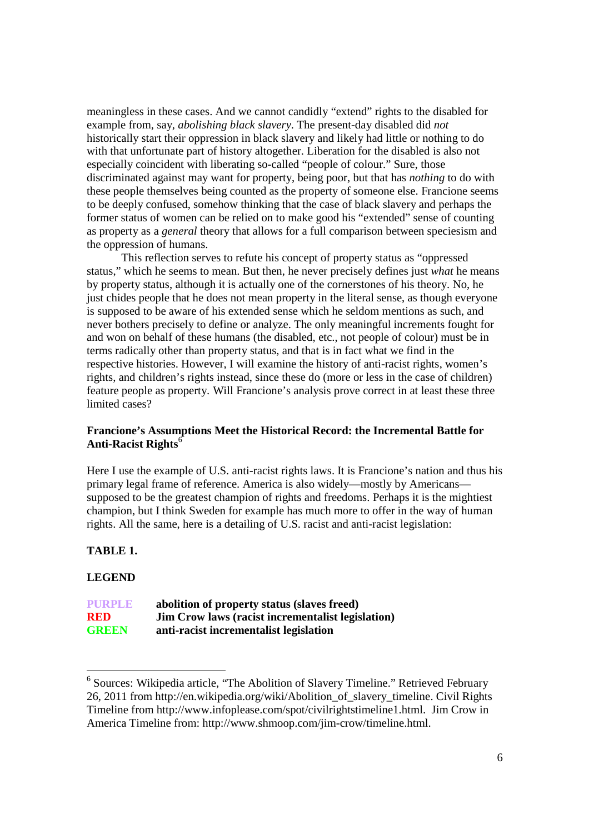meaningless in these cases. And we cannot candidly "extend" rights to the disabled for example from, say, *abolishing black slavery*. The present-day disabled did *not* historically start their oppression in black slavery and likely had little or nothing to do with that unfortunate part of history altogether. Liberation for the disabled is also not especially coincident with liberating so-called "people of colour." Sure, those discriminated against may want for property, being poor, but that has *nothing* to do with these people themselves being counted as the property of someone else. Francione seems to be deeply confused, somehow thinking that the case of black slavery and perhaps the former status of women can be relied on to make good his "extended" sense of counting as property as a *general* theory that allows for a full comparison between speciesism and the oppression of humans.

 This reflection serves to refute his concept of property status as "oppressed status," which he seems to mean. But then, he never precisely defines just *what* he means by property status, although it is actually one of the cornerstones of his theory. No, he just chides people that he does not mean property in the literal sense, as though everyone is supposed to be aware of his extended sense which he seldom mentions as such, and never bothers precisely to define or analyze. The only meaningful increments fought for and won on behalf of these humans (the disabled, etc., not people of colour) must be in terms radically other than property status, and that is in fact what we find in the respective histories. However, I will examine the history of anti-racist rights, women's rights, and children's rights instead, since these do (more or less in the case of children) feature people as property. Will Francione's analysis prove correct in at least these three limited cases?

## **Francione's Assumptions Meet the Historical Record: the Incremental Battle for Anti-Racist Rights**<sup>6</sup>

Here I use the example of U.S. anti-racist rights laws. It is Francione's nation and thus his primary legal frame of reference. America is also widely—mostly by Americans supposed to be the greatest champion of rights and freedoms. Perhaps it is the mightiest champion, but I think Sweden for example has much more to offer in the way of human rights. All the same, here is a detailing of U.S. racist and anti-racist legislation:

## **TABLE 1.**

## **LEGEND**

-

# **PURPLE abolition of property status (slaves freed) RED Jim Crow laws (racist incrementalist legislation) GREEN anti-racist incrementalist legislation**

<sup>&</sup>lt;sup>6</sup> Sources: Wikipedia article, "The Abolition of Slavery Timeline." Retrieved February 26, 2011 from http://en.wikipedia.org/wiki/Abolition\_of\_slavery\_timeline. Civil Rights Timeline from http://www.infoplease.com/spot/civilrightstimeline1.html. Jim Crow in America Timeline from: http://www.shmoop.com/jim-crow/timeline.html.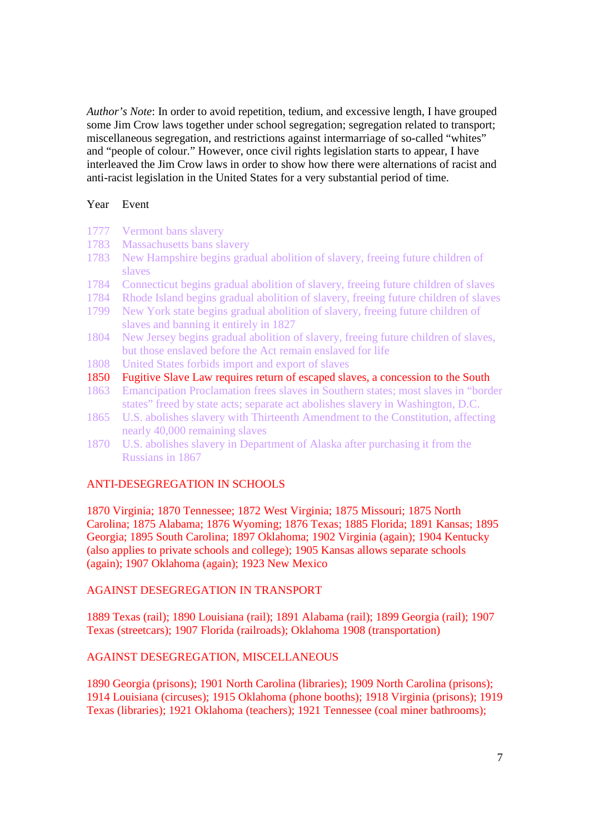*Author's Note*: In order to avoid repetition, tedium, and excessive length, I have grouped some Jim Crow laws together under school segregation; segregation related to transport; miscellaneous segregation, and restrictions against intermarriage of so-called "whites" and "people of colour." However, once civil rights legislation starts to appear, I have interleaved the Jim Crow laws in order to show how there were alternations of racist and anti-racist legislation in the United States for a very substantial period of time.

#### Year Event

- 1777 Vermont bans slavery
- 1783 Massachusetts bans slavery
- 1783 New Hampshire begins gradual abolition of slavery, freeing future children of slaves
- 1784 Connecticut begins gradual abolition of slavery, freeing future children of slaves
- 1784 Rhode Island begins gradual abolition of slavery, freeing future children of slaves
- 1799 New York state begins gradual abolition of slavery, freeing future children of slaves and banning it entirely in 1827
- 1804 New Jersey begins gradual abolition of slavery, freeing future children of slaves, but those enslaved before the Act remain enslaved for life
- 1808 United States forbids import and export of slaves
- 1850 Fugitive Slave Law requires return of escaped slaves, a concession to the South
- 1863 Emancipation Proclamation frees slaves in Southern states; most slaves in "border states" freed by state acts; separate act abolishes slavery in Washington, D.C.
- 1865 U.S. abolishes slavery with Thirteenth Amendment to the Constitution, affecting nearly 40,000 remaining slaves
- 1870 U.S. abolishes slavery in Department of Alaska after purchasing it from the Russians in 1867

## ANTI-DESEGREGATION IN SCHOOLS

1870 Virginia; 1870 Tennessee; 1872 West Virginia; 1875 Missouri; 1875 North Carolina; 1875 Alabama; 1876 Wyoming; 1876 Texas; 1885 Florida; 1891 Kansas; 1895 Georgia; 1895 South Carolina; 1897 Oklahoma; 1902 Virginia (again); 1904 Kentucky (also applies to private schools and college); 1905 Kansas allows separate schools (again); 1907 Oklahoma (again); 1923 New Mexico

## AGAINST DESEGREGATION IN TRANSPORT

1889 Texas (rail); 1890 Louisiana (rail); 1891 Alabama (rail); 1899 Georgia (rail); 1907 Texas (streetcars); 1907 Florida (railroads); Oklahoma 1908 (transportation)

## AGAINST DESEGREGATION, MISCELLANEOUS

1890 Georgia (prisons); 1901 North Carolina (libraries); 1909 North Carolina (prisons); 1914 Louisiana (circuses); 1915 Oklahoma (phone booths); 1918 Virginia (prisons); 1919 Texas (libraries); 1921 Oklahoma (teachers); 1921 Tennessee (coal miner bathrooms);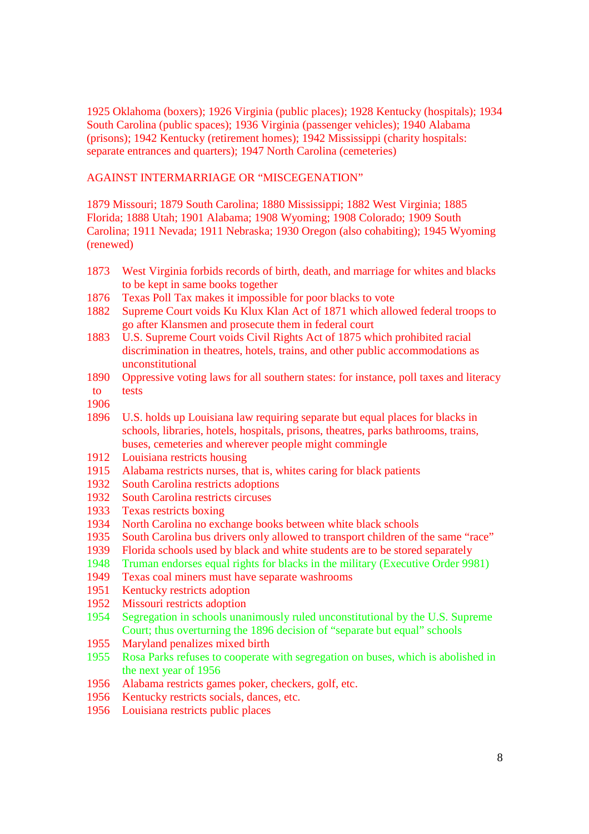1925 Oklahoma (boxers); 1926 Virginia (public places); 1928 Kentucky (hospitals); 1934 South Carolina (public spaces); 1936 Virginia (passenger vehicles); 1940 Alabama (prisons); 1942 Kentucky (retirement homes); 1942 Mississippi (charity hospitals: separate entrances and quarters); 1947 North Carolina (cemeteries)

AGAINST INTERMARRIAGE OR "MISCEGENATION"

1879 Missouri; 1879 South Carolina; 1880 Mississippi; 1882 West Virginia; 1885 Florida; 1888 Utah; 1901 Alabama; 1908 Wyoming; 1908 Colorado; 1909 South Carolina; 1911 Nevada; 1911 Nebraska; 1930 Oregon (also cohabiting); 1945 Wyoming (renewed)

- 1873 West Virginia forbids records of birth, death, and marriage for whites and blacks to be kept in same books together
- 1876 Texas Poll Tax makes it impossible for poor blacks to vote
- 1882 Supreme Court voids Ku Klux Klan Act of 1871 which allowed federal troops to go after Klansmen and prosecute them in federal court
- 1883 U.S. Supreme Court voids Civil Rights Act of 1875 which prohibited racial discrimination in theatres, hotels, trains, and other public accommodations as unconstitutional
- 1890 Oppressive voting laws for all southern states: for instance, poll taxes and literacy
- to

tests

- 1906
- 1896 U.S. holds up Louisiana law requiring separate but equal places for blacks in schools, libraries, hotels, hospitals, prisons, theatres, parks bathrooms, trains, buses, cemeteries and wherever people might commingle
- 1912 Louisiana restricts housing
- 1915 Alabama restricts nurses, that is, whites caring for black patients
- 1932 South Carolina restricts adoptions
- 1932 South Carolina restricts circuses
- 1933 Texas restricts boxing
- 1934 North Carolina no exchange books between white black schools
- 1935 South Carolina bus drivers only allowed to transport children of the same "race"
- 1939 Florida schools used by black and white students are to be stored separately
- 1948 Truman endorses equal rights for blacks in the military (Executive Order 9981)
- 1949 Texas coal miners must have separate washrooms
- 1951 Kentucky restricts adoption
- 1952 Missouri restricts adoption
- 1954 Segregation in schools unanimously ruled unconstitutional by the U.S. Supreme Court; thus overturning the 1896 decision of "separate but equal" schools
- 1955 Maryland penalizes mixed birth<br>1955 Rosa Parks refuses to cooperate
- Rosa Parks refuses to cooperate with segregation on buses, which is abolished in the next year of 1956
- 1956 Alabama restricts games poker, checkers, golf, etc.
- 1956 Kentucky restricts socials, dances, etc.
- 1956 Louisiana restricts public places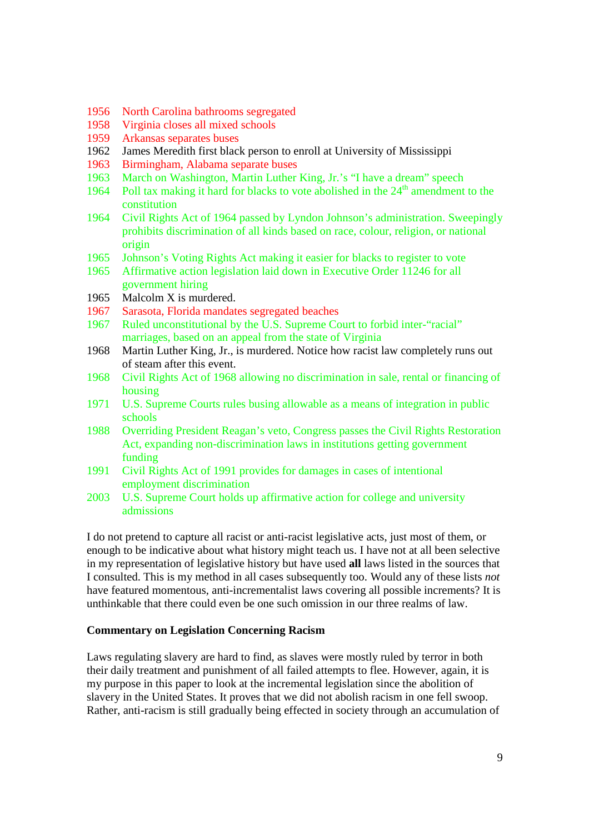- 1956 North Carolina bathrooms segregated
- 1958 Virginia closes all mixed schools
- 1959 Arkansas separates buses
- 1962 James Meredith first black person to enroll at University of Mississippi
- 1963 Birmingham, Alabama separate buses
- 1963 March on Washington, Martin Luther King, Jr.'s "I have a dream" speech
- 1964 Poll tax making it hard for blacks to vote abolished in the  $24<sup>th</sup>$  amendment to the constitution
- 1964 Civil Rights Act of 1964 passed by Lyndon Johnson's administration. Sweepingly prohibits discrimination of all kinds based on race, colour, religion, or national origin
- 1965 Johnson's Voting Rights Act making it easier for blacks to register to vote
- 1965 Affirmative action legislation laid down in Executive Order 11246 for all government hiring
- 1965 Malcolm X is murdered.
- 1967 Sarasota, Florida mandates segregated beaches
- 1967 Ruled unconstitutional by the U.S. Supreme Court to forbid inter-"racial" marriages, based on an appeal from the state of Virginia
- 1968 Martin Luther King, Jr., is murdered. Notice how racist law completely runs out of steam after this event.
- 1968 Civil Rights Act of 1968 allowing no discrimination in sale, rental or financing of housing
- 1971 U.S. Supreme Courts rules busing allowable as a means of integration in public schools
- 1988 Overriding President Reagan's veto, Congress passes the Civil Rights Restoration Act, expanding non-discrimination laws in institutions getting government funding
- 1991 Civil Rights Act of 1991 provides for damages in cases of intentional employment discrimination
- 2003 U.S. Supreme Court holds up affirmative action for college and university admissions

I do not pretend to capture all racist or anti-racist legislative acts, just most of them, or enough to be indicative about what history might teach us. I have not at all been selective in my representation of legislative history but have used **all** laws listed in the sources that I consulted. This is my method in all cases subsequently too. Would any of these lists *not* have featured momentous, anti-incrementalist laws covering all possible increments? It is unthinkable that there could even be one such omission in our three realms of law.

#### **Commentary on Legislation Concerning Racism**

Laws regulating slavery are hard to find, as slaves were mostly ruled by terror in both their daily treatment and punishment of all failed attempts to flee. However, again, it is my purpose in this paper to look at the incremental legislation since the abolition of slavery in the United States. It proves that we did not abolish racism in one fell swoop. Rather, anti-racism is still gradually being effected in society through an accumulation of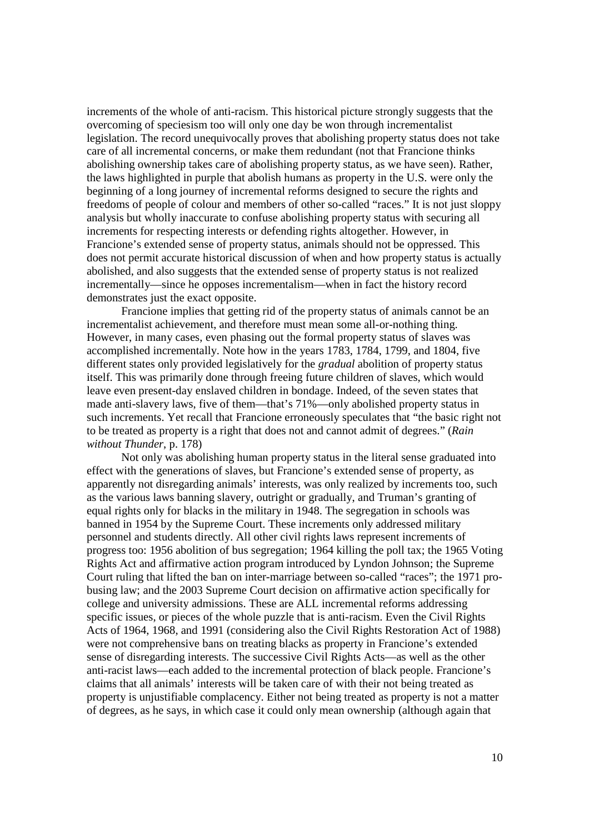increments of the whole of anti-racism. This historical picture strongly suggests that the overcoming of speciesism too will only one day be won through incrementalist legislation. The record unequivocally proves that abolishing property status does not take care of all incremental concerns, or make them redundant (not that Francione thinks abolishing ownership takes care of abolishing property status, as we have seen). Rather, the laws highlighted in purple that abolish humans as property in the U.S. were only the beginning of a long journey of incremental reforms designed to secure the rights and freedoms of people of colour and members of other so-called "races." It is not just sloppy analysis but wholly inaccurate to confuse abolishing property status with securing all increments for respecting interests or defending rights altogether. However, in Francione's extended sense of property status, animals should not be oppressed. This does not permit accurate historical discussion of when and how property status is actually abolished, and also suggests that the extended sense of property status is not realized incrementally—since he opposes incrementalism—when in fact the history record demonstrates just the exact opposite.

 Francione implies that getting rid of the property status of animals cannot be an incrementalist achievement, and therefore must mean some all-or-nothing thing. However, in many cases, even phasing out the formal property status of slaves was accomplished incrementally. Note how in the years 1783, 1784, 1799, and 1804, five different states only provided legislatively for the *gradual* abolition of property status itself. This was primarily done through freeing future children of slaves, which would leave even present-day enslaved children in bondage. Indeed, of the seven states that made anti-slavery laws, five of them—that's 71%—only abolished property status in such increments. Yet recall that Francione erroneously speculates that "the basic right not to be treated as property is a right that does not and cannot admit of degrees." (*Rain without Thunder*, p. 178)

 Not only was abolishing human property status in the literal sense graduated into effect with the generations of slaves, but Francione's extended sense of property, as apparently not disregarding animals' interests, was only realized by increments too, such as the various laws banning slavery, outright or gradually, and Truman's granting of equal rights only for blacks in the military in 1948. The segregation in schools was banned in 1954 by the Supreme Court. These increments only addressed military personnel and students directly. All other civil rights laws represent increments of progress too: 1956 abolition of bus segregation; 1964 killing the poll tax; the 1965 Voting Rights Act and affirmative action program introduced by Lyndon Johnson; the Supreme Court ruling that lifted the ban on inter-marriage between so-called "races"; the 1971 probusing law; and the 2003 Supreme Court decision on affirmative action specifically for college and university admissions. These are ALL incremental reforms addressing specific issues, or pieces of the whole puzzle that is anti-racism. Even the Civil Rights Acts of 1964, 1968, and 1991 (considering also the Civil Rights Restoration Act of 1988) were not comprehensive bans on treating blacks as property in Francione's extended sense of disregarding interests. The successive Civil Rights Acts—as well as the other anti-racist laws—each added to the incremental protection of black people. Francione's claims that all animals' interests will be taken care of with their not being treated as property is unjustifiable complacency. Either not being treated as property is not a matter of degrees, as he says, in which case it could only mean ownership (although again that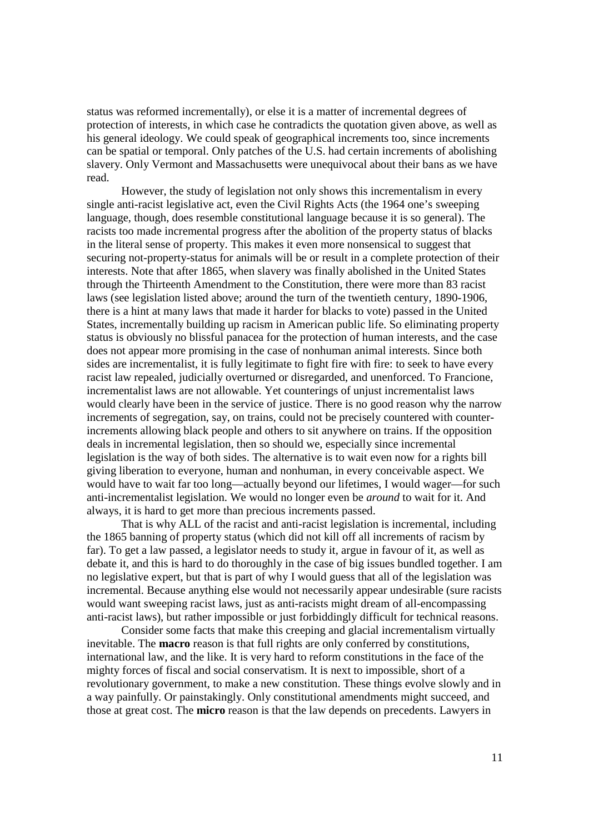status was reformed incrementally), or else it is a matter of incremental degrees of protection of interests, in which case he contradicts the quotation given above, as well as his general ideology. We could speak of geographical increments too, since increments can be spatial or temporal. Only patches of the U.S. had certain increments of abolishing slavery. Only Vermont and Massachusetts were unequivocal about their bans as we have read.

 However, the study of legislation not only shows this incrementalism in every single anti-racist legislative act, even the Civil Rights Acts (the 1964 one's sweeping language, though, does resemble constitutional language because it is so general). The racists too made incremental progress after the abolition of the property status of blacks in the literal sense of property. This makes it even more nonsensical to suggest that securing not-property-status for animals will be or result in a complete protection of their interests. Note that after 1865, when slavery was finally abolished in the United States through the Thirteenth Amendment to the Constitution, there were more than 83 racist laws (see legislation listed above; around the turn of the twentieth century, 1890-1906, there is a hint at many laws that made it harder for blacks to vote) passed in the United States, incrementally building up racism in American public life. So eliminating property status is obviously no blissful panacea for the protection of human interests, and the case does not appear more promising in the case of nonhuman animal interests. Since both sides are incrementalist, it is fully legitimate to fight fire with fire: to seek to have every racist law repealed, judicially overturned or disregarded, and unenforced. To Francione, incrementalist laws are not allowable. Yet counterings of unjust incrementalist laws would clearly have been in the service of justice. There is no good reason why the narrow increments of segregation, say, on trains, could not be precisely countered with counterincrements allowing black people and others to sit anywhere on trains. If the opposition deals in incremental legislation, then so should we, especially since incremental legislation is the way of both sides. The alternative is to wait even now for a rights bill giving liberation to everyone, human and nonhuman, in every conceivable aspect. We would have to wait far too long—actually beyond our lifetimes, I would wager—for such anti-incrementalist legislation. We would no longer even be *around* to wait for it. And always, it is hard to get more than precious increments passed.

 That is why ALL of the racist and anti-racist legislation is incremental, including the 1865 banning of property status (which did not kill off all increments of racism by far). To get a law passed, a legislator needs to study it, argue in favour of it, as well as debate it, and this is hard to do thoroughly in the case of big issues bundled together. I am no legislative expert, but that is part of why I would guess that all of the legislation was incremental. Because anything else would not necessarily appear undesirable (sure racists would want sweeping racist laws, just as anti-racists might dream of all-encompassing anti-racist laws), but rather impossible or just forbiddingly difficult for technical reasons.

 Consider some facts that make this creeping and glacial incrementalism virtually inevitable. The **macro** reason is that full rights are only conferred by constitutions, international law, and the like. It is very hard to reform constitutions in the face of the mighty forces of fiscal and social conservatism. It is next to impossible, short of a revolutionary government, to make a new constitution. These things evolve slowly and in a way painfully. Or painstakingly. Only constitutional amendments might succeed, and those at great cost. The **micro** reason is that the law depends on precedents. Lawyers in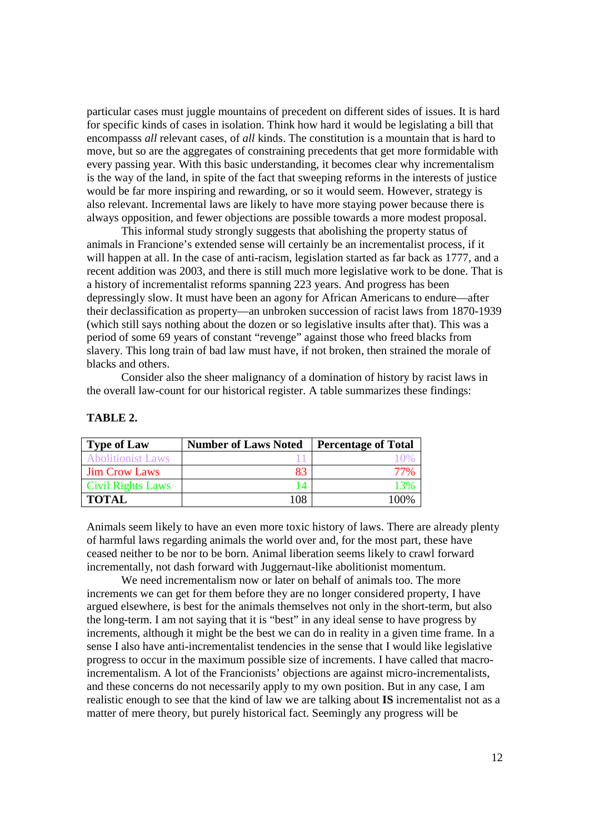particular cases must juggle mountains of precedent on different sides of issues. It is hard for specific kinds of cases in isolation. Think how hard it would be legislating a bill that encompasss *all* relevant cases, of *all* kinds. The constitution is a mountain that is hard to move, but so are the aggregates of constraining precedents that get more formidable with every passing year. With this basic understanding, it becomes clear why incrementalism is the way of the land, in spite of the fact that sweeping reforms in the interests of justice would be far more inspiring and rewarding, or so it would seem. However, strategy is also relevant. Incremental laws are likely to have more staying power because there is always opposition, and fewer objections are possible towards a more modest proposal.

 This informal study strongly suggests that abolishing the property status of animals in Francione's extended sense will certainly be an incrementalist process, if it will happen at all. In the case of anti-racism, legislation started as far back as 1777, and a recent addition was 2003, and there is still much more legislative work to be done. That is a history of incrementalist reforms spanning 223 years. And progress has been depressingly slow. It must have been an agony for African Americans to endure—after their declassification as property—an unbroken succession of racist laws from 1870-1939 (which still says nothing about the dozen or so legislative insults after that). This was a period of some 69 years of constant "revenge" against those who freed blacks from slavery. This long train of bad law must have, if not broken, then strained the morale of blacks and others.

 Consider also the sheer malignancy of a domination of history by racist laws in the overall law-count for our historical register. A table summarizes these findings:

| <b>Type of Law</b>       | <b>Number of Laws Noted</b> | <b>Percentage of Total</b> |
|--------------------------|-----------------------------|----------------------------|
| <b>Abolitionist Laws</b> |                             |                            |
| <b>Jim Crow Laws</b>     | 83                          |                            |
| <b>Civil Rights Laws</b> |                             |                            |
| <b>TOTAL</b>             | 108                         | 100%                       |

### **TABLE 2.**

Animals seem likely to have an even more toxic history of laws. There are already plenty of harmful laws regarding animals the world over and, for the most part, these have ceased neither to be nor to be born. Animal liberation seems likely to crawl forward incrementally, not dash forward with Juggernaut-like abolitionist momentum.

 We need incrementalism now or later on behalf of animals too. The more increments we can get for them before they are no longer considered property, I have argued elsewhere, is best for the animals themselves not only in the short-term, but also the long-term. I am not saying that it is "best" in any ideal sense to have progress by increments, although it might be the best we can do in reality in a given time frame. In a sense I also have anti-incrementalist tendencies in the sense that I would like legislative progress to occur in the maximum possible size of increments. I have called that macroincrementalism. A lot of the Francionists' objections are against micro-incrementalists, and these concerns do not necessarily apply to my own position. But in any case, I am realistic enough to see that the kind of law we are talking about **IS** incrementalist not as a matter of mere theory, but purely historical fact. Seemingly any progress will be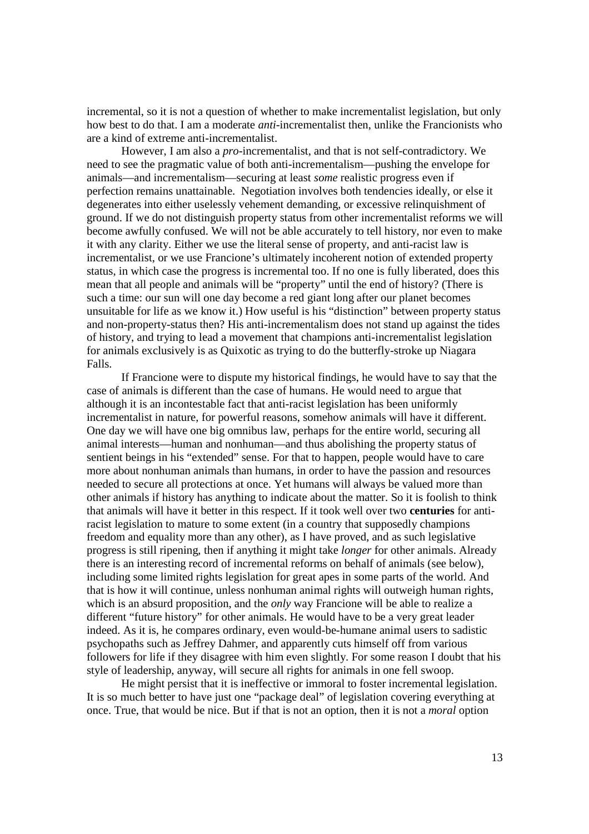incremental, so it is not a question of whether to make incrementalist legislation, but only how best to do that. I am a moderate *anti*-incrementalist then, unlike the Francionists who are a kind of extreme anti-incrementalist.

 However, I am also a *pro*-incrementalist, and that is not self-contradictory. We need to see the pragmatic value of both anti-incrementalism—pushing the envelope for animals—and incrementalism—securing at least *some* realistic progress even if perfection remains unattainable. Negotiation involves both tendencies ideally, or else it degenerates into either uselessly vehement demanding, or excessive relinquishment of ground. If we do not distinguish property status from other incrementalist reforms we will become awfully confused. We will not be able accurately to tell history, nor even to make it with any clarity. Either we use the literal sense of property, and anti-racist law is incrementalist, or we use Francione's ultimately incoherent notion of extended property status, in which case the progress is incremental too. If no one is fully liberated, does this mean that all people and animals will be "property" until the end of history? (There is such a time: our sun will one day become a red giant long after our planet becomes unsuitable for life as we know it.) How useful is his "distinction" between property status and non-property-status then? His anti-incrementalism does not stand up against the tides of history, and trying to lead a movement that champions anti-incrementalist legislation for animals exclusively is as Quixotic as trying to do the butterfly-stroke up Niagara Falls.

 If Francione were to dispute my historical findings, he would have to say that the case of animals is different than the case of humans. He would need to argue that although it is an incontestable fact that anti-racist legislation has been uniformly incrementalist in nature, for powerful reasons, somehow animals will have it different. One day we will have one big omnibus law, perhaps for the entire world, securing all animal interests—human and nonhuman—and thus abolishing the property status of sentient beings in his "extended" sense. For that to happen, people would have to care more about nonhuman animals than humans, in order to have the passion and resources needed to secure all protections at once. Yet humans will always be valued more than other animals if history has anything to indicate about the matter. So it is foolish to think that animals will have it better in this respect. If it took well over two **centuries** for antiracist legislation to mature to some extent (in a country that supposedly champions freedom and equality more than any other), as I have proved, and as such legislative progress is still ripening, then if anything it might take *longer* for other animals. Already there is an interesting record of incremental reforms on behalf of animals (see below), including some limited rights legislation for great apes in some parts of the world. And that is how it will continue, unless nonhuman animal rights will outweigh human rights, which is an absurd proposition, and the *only* way Francione will be able to realize a different "future history" for other animals. He would have to be a very great leader indeed. As it is, he compares ordinary, even would-be-humane animal users to sadistic psychopaths such as Jeffrey Dahmer, and apparently cuts himself off from various followers for life if they disagree with him even slightly. For some reason I doubt that his style of leadership, anyway, will secure all rights for animals in one fell swoop.

 He might persist that it is ineffective or immoral to foster incremental legislation. It is so much better to have just one "package deal" of legislation covering everything at once. True, that would be nice. But if that is not an option, then it is not a *moral* option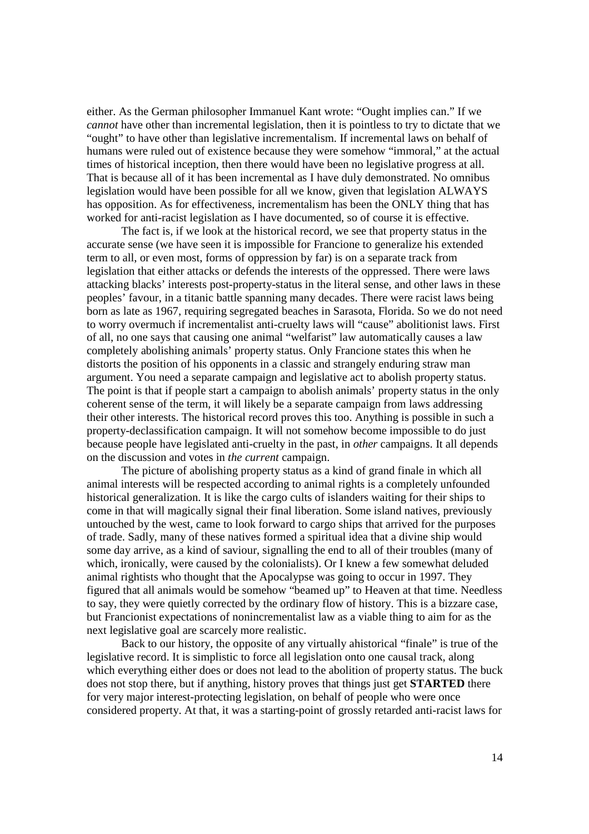either. As the German philosopher Immanuel Kant wrote: "Ought implies can." If we *cannot* have other than incremental legislation, then it is pointless to try to dictate that we "ought" to have other than legislative incrementalism. If incremental laws on behalf of humans were ruled out of existence because they were somehow "immoral," at the actual times of historical inception, then there would have been no legislative progress at all. That is because all of it has been incremental as I have duly demonstrated. No omnibus legislation would have been possible for all we know, given that legislation ALWAYS has opposition. As for effectiveness, incrementalism has been the ONLY thing that has worked for anti-racist legislation as I have documented, so of course it is effective.

 The fact is, if we look at the historical record, we see that property status in the accurate sense (we have seen it is impossible for Francione to generalize his extended term to all, or even most, forms of oppression by far) is on a separate track from legislation that either attacks or defends the interests of the oppressed. There were laws attacking blacks' interests post-property-status in the literal sense, and other laws in these peoples' favour, in a titanic battle spanning many decades. There were racist laws being born as late as 1967, requiring segregated beaches in Sarasota, Florida. So we do not need to worry overmuch if incrementalist anti-cruelty laws will "cause" abolitionist laws. First of all, no one says that causing one animal "welfarist" law automatically causes a law completely abolishing animals' property status. Only Francione states this when he distorts the position of his opponents in a classic and strangely enduring straw man argument. You need a separate campaign and legislative act to abolish property status. The point is that if people start a campaign to abolish animals' property status in the only coherent sense of the term, it will likely be a separate campaign from laws addressing their other interests. The historical record proves this too. Anything is possible in such a property-declassification campaign. It will not somehow become impossible to do just because people have legislated anti-cruelty in the past, in *other* campaigns. It all depends on the discussion and votes in *the current* campaign.

 The picture of abolishing property status as a kind of grand finale in which all animal interests will be respected according to animal rights is a completely unfounded historical generalization. It is like the cargo cults of islanders waiting for their ships to come in that will magically signal their final liberation. Some island natives, previously untouched by the west, came to look forward to cargo ships that arrived for the purposes of trade. Sadly, many of these natives formed a spiritual idea that a divine ship would some day arrive, as a kind of saviour, signalling the end to all of their troubles (many of which, ironically, were caused by the colonialists). Or I knew a few somewhat deluded animal rightists who thought that the Apocalypse was going to occur in 1997. They figured that all animals would be somehow "beamed up" to Heaven at that time. Needless to say, they were quietly corrected by the ordinary flow of history. This is a bizzare case, but Francionist expectations of nonincrementalist law as a viable thing to aim for as the next legislative goal are scarcely more realistic.

 Back to our history, the opposite of any virtually ahistorical "finale" is true of the legislative record. It is simplistic to force all legislation onto one causal track, along which everything either does or does not lead to the abolition of property status. The buck does not stop there, but if anything, history proves that things just get **STARTED** there for very major interest-protecting legislation, on behalf of people who were once considered property. At that, it was a starting-point of grossly retarded anti-racist laws for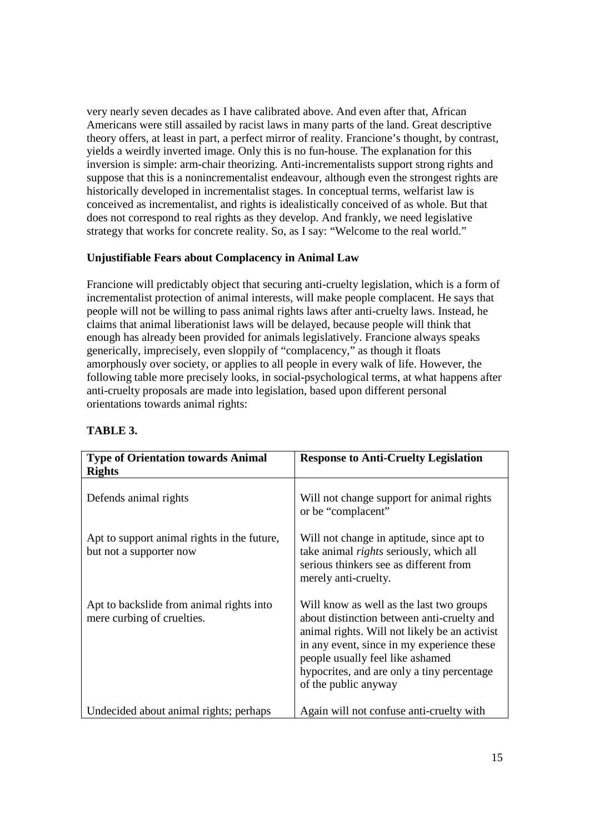very nearly seven decades as I have calibrated above. And even after that, African Americans were still assailed by racist laws in many parts of the land. Great descriptive theory offers, at least in part, a perfect mirror of reality. Francione's thought, by contrast, yields a weirdly inverted image. Only this is no fun-house. The explanation for this inversion is simple: arm-chair theorizing. Anti-incrementalists support strong rights and suppose that this is a nonincrementalist endeavour, although even the strongest rights are historically developed in incrementalist stages. In conceptual terms, welfarist law is conceived as incrementalist, and rights is idealistically conceived of as whole. But that does not correspond to real rights as they develop. And frankly, we need legislative strategy that works for concrete reality. So, as I say: "Welcome to the real world."

# **Unjustifiable Fears about Complacency in Animal Law**

Francione will predictably object that securing anti-cruelty legislation, which is a form of incrementalist protection of animal interests, will make people complacent. He says that people will not be willing to pass animal rights laws after anti-cruelty laws. Instead, he claims that animal liberationist laws will be delayed, because people will think that enough has already been provided for animals legislatively. Francione always speaks generically, imprecisely, even sloppily of "complacency," as though it floats amorphously over society, or applies to all people in every walk of life. However, the following table more precisely looks, in social-psychological terms, at what happens after anti-cruelty proposals are made into legislation, based upon different personal orientations towards animal rights:

| <b>Type of Orientation towards Animal</b>                              | <b>Response to Anti-Cruelty Legislation</b>                                                                                                                                                                                                                                                     |  |
|------------------------------------------------------------------------|-------------------------------------------------------------------------------------------------------------------------------------------------------------------------------------------------------------------------------------------------------------------------------------------------|--|
| <b>Rights</b>                                                          |                                                                                                                                                                                                                                                                                                 |  |
| Defends animal rights                                                  | Will not change support for animal rights<br>or be "complacent"                                                                                                                                                                                                                                 |  |
| Apt to support animal rights in the future,<br>but not a supporter now | Will not change in aptitude, since apt to<br>take animal <i>rights</i> seriously, which all<br>serious thinkers see as different from<br>merely anti-cruelty.                                                                                                                                   |  |
| Apt to backslide from animal rights into<br>mere curbing of cruelties. | Will know as well as the last two groups<br>about distinction between anti-cruelty and<br>animal rights. Will not likely be an activist<br>in any event, since in my experience these<br>people usually feel like ashamed<br>hypocrites, and are only a tiny percentage<br>of the public anyway |  |
| Undecided about animal rights; perhaps                                 | Again will not confuse anti-cruelty with                                                                                                                                                                                                                                                        |  |

## **TABLE 3.**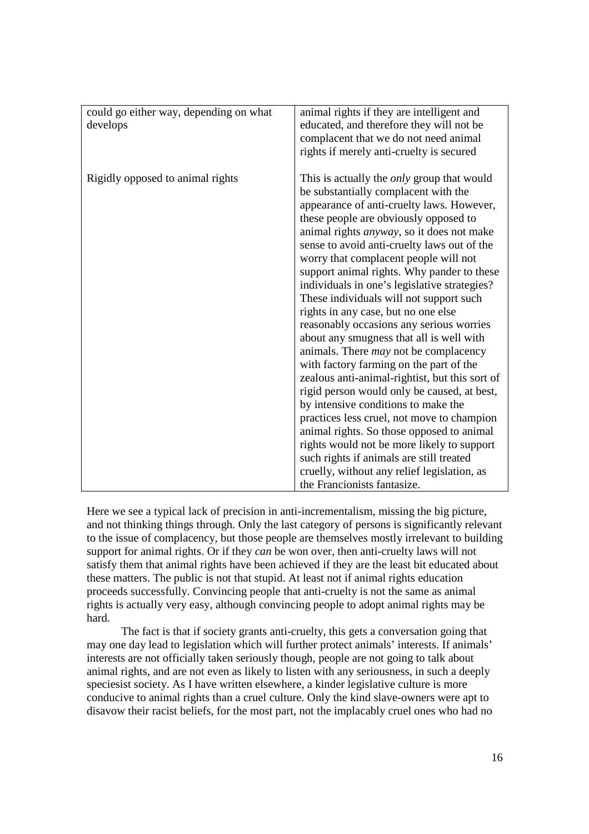| could go either way, depending on what<br>develops | animal rights if they are intelligent and<br>educated, and therefore they will not be<br>complacent that we do not need animal<br>rights if merely anti-cruelty is secured                                                                                                                                                                                                                                                                                                                                                                                                                                                                                                                                                                                                                                                                                                                                                                                                                                                                                                                                 |
|----------------------------------------------------|------------------------------------------------------------------------------------------------------------------------------------------------------------------------------------------------------------------------------------------------------------------------------------------------------------------------------------------------------------------------------------------------------------------------------------------------------------------------------------------------------------------------------------------------------------------------------------------------------------------------------------------------------------------------------------------------------------------------------------------------------------------------------------------------------------------------------------------------------------------------------------------------------------------------------------------------------------------------------------------------------------------------------------------------------------------------------------------------------------|
| Rigidly opposed to animal rights                   | This is actually the <i>only</i> group that would<br>be substantially complacent with the<br>appearance of anti-cruelty laws. However,<br>these people are obviously opposed to<br>animal rights <i>anyway</i> , so it does not make<br>sense to avoid anti-cruelty laws out of the<br>worry that complacent people will not<br>support animal rights. Why pander to these<br>individuals in one's legislative strategies?<br>These individuals will not support such<br>rights in any case, but no one else<br>reasonably occasions any serious worries<br>about any smugness that all is well with<br>animals. There <i>may</i> not be complacency<br>with factory farming on the part of the<br>zealous anti-animal-rightist, but this sort of<br>rigid person would only be caused, at best,<br>by intensive conditions to make the<br>practices less cruel, not move to champion<br>animal rights. So those opposed to animal<br>rights would not be more likely to support<br>such rights if animals are still treated<br>cruelly, without any relief legislation, as<br>the Francionists fantasize. |

Here we see a typical lack of precision in anti-incrementalism, missing the big picture, and not thinking things through. Only the last category of persons is significantly relevant to the issue of complacency, but those people are themselves mostly irrelevant to building support for animal rights. Or if they *can* be won over, then anti-cruelty laws will not satisfy them that animal rights have been achieved if they are the least bit educated about these matters. The public is not that stupid. At least not if animal rights education proceeds successfully. Convincing people that anti-cruelty is not the same as animal rights is actually very easy, although convincing people to adopt animal rights may be hard.

 The fact is that if society grants anti-cruelty, this gets a conversation going that may one day lead to legislation which will further protect animals' interests. If animals' interests are not officially taken seriously though, people are not going to talk about animal rights, and are not even as likely to listen with any seriousness, in such a deeply speciesist society. As I have written elsewhere, a kinder legislative culture is more conducive to animal rights than a cruel culture. Only the kind slave-owners were apt to disavow their racist beliefs, for the most part, not the implacably cruel ones who had no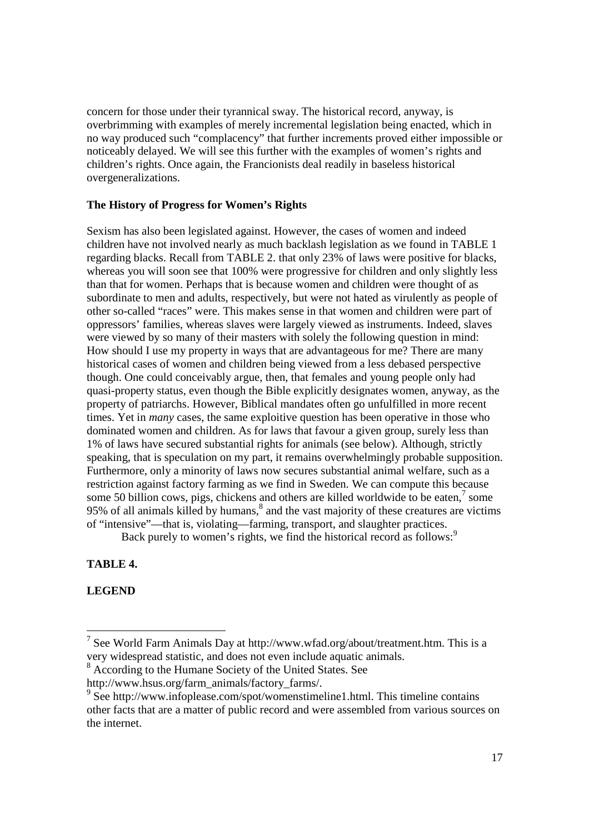concern for those under their tyrannical sway. The historical record, anyway, is overbrimming with examples of merely incremental legislation being enacted, which in no way produced such "complacency" that further increments proved either impossible or noticeably delayed. We will see this further with the examples of women's rights and children's rights. Once again, the Francionists deal readily in baseless historical overgeneralizations.

#### **The History of Progress for Women's Rights**

Sexism has also been legislated against. However, the cases of women and indeed children have not involved nearly as much backlash legislation as we found in TABLE 1 regarding blacks. Recall from TABLE 2. that only 23% of laws were positive for blacks, whereas you will soon see that 100% were progressive for children and only slightly less than that for women. Perhaps that is because women and children were thought of as subordinate to men and adults, respectively, but were not hated as virulently as people of other so-called "races" were. This makes sense in that women and children were part of oppressors' families, whereas slaves were largely viewed as instruments. Indeed, slaves were viewed by so many of their masters with solely the following question in mind: How should I use my property in ways that are advantageous for me? There are many historical cases of women and children being viewed from a less debased perspective though. One could conceivably argue, then, that females and young people only had quasi-property status, even though the Bible explicitly designates women, anyway, as the property of patriarchs. However, Biblical mandates often go unfulfilled in more recent times. Yet in *many* cases, the same exploitive question has been operative in those who dominated women and children. As for laws that favour a given group, surely less than 1% of laws have secured substantial rights for animals (see below). Although, strictly speaking, that is speculation on my part, it remains overwhelmingly probable supposition. Furthermore, only a minority of laws now secures substantial animal welfare, such as a restriction against factory farming as we find in Sweden. We can compute this because some 50 billion cows, pigs, chickens and others are killed worldwide to be eaten, $\frac{7}{1}$  some 95% of all animals killed by humans, $8$  and the vast majority of these creatures are victims of "intensive"—that is, violating—farming, transport, and slaughter practices.

Back purely to women's rights, we find the historical record as follows:<sup>9</sup>

**TABLE 4.** 

**LEGEND** 

-

<sup>8</sup> According to the Humane Society of the United States. See

<sup>&</sup>lt;sup>7</sup> See World Farm Animals Day at http://www.wfad.org/about/treatment.htm. This is a very widespread statistic, and does not even include aquatic animals.

http://www.hsus.org/farm\_animals/factory\_farms/.

<sup>&</sup>lt;sup>9</sup> See http://www.infoplease.com/spot/womenstimeline1.html. This timeline contains other facts that are a matter of public record and were assembled from various sources on the internet.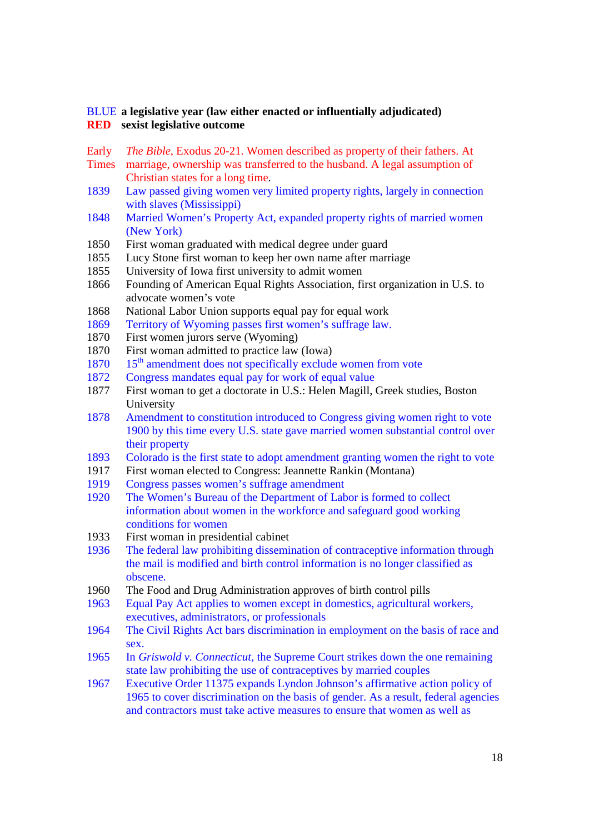### BLUE **a legislative year (law either enacted or influentially adjudicated) RED sexist legislative outcome**

- Early *The Bible*, Exodus 20-21. Women described as property of their fathers. At
- **Times** marriage, ownership was transferred to the husband. A legal assumption of Christian states for a long time.
- 1839 Law passed giving women very limited property rights, largely in connection with slaves (Mississippi)
- 1848 Married Women's Property Act, expanded property rights of married women (New York)
- 1850 First woman graduated with medical degree under guard
- 1855 Lucy Stone first woman to keep her own name after marriage
- 1855 University of Iowa first university to admit women
- 1866 Founding of American Equal Rights Association, first organization in U.S. to advocate women's vote
- 1868 National Labor Union supports equal pay for equal work
- 1869 Territory of Wyoming passes first women's suffrage law.
- 1870 First women jurors serve (Wyoming)
- 1870 First woman admitted to practice law (Iowa)
- $1870$  15<sup>th</sup> amendment does not specifically exclude women from vote
- 1872 Congress mandates equal pay for work of equal value
- 1877 First woman to get a doctorate in U.S.: Helen Magill, Greek studies, Boston University
- 1878 Amendment to constitution introduced to Congress giving women right to vote 1900 by this time every U.S. state gave married women substantial control over their property
- 1893 Colorado is the first state to adopt amendment granting women the right to vote
- 1917 First woman elected to Congress: Jeannette Rankin (Montana)
- 1919 Congress passes women's suffrage amendment
- 1920 The Women's Bureau of the Department of Labor is formed to collect information about women in the workforce and safeguard good working conditions for women
- 1933 First woman in presidential cabinet
- 1936 The federal law prohibiting dissemination of contraceptive information through the mail is modified and birth control information is no longer classified as obscene.
- 1960 The Food and Drug Administration approves of birth control pills
- 1963 Equal Pay Act applies to women except in domestics, agricultural workers, executives, administrators, or professionals
- 1964 The Civil Rights Act bars discrimination in employment on the basis of race and sex.
- 1965 In *Griswold v. Connecticut*, the Supreme Court strikes down the one remaining state law prohibiting the use of contraceptives by married couples
- 1967 Executive Order 11375 expands Lyndon Johnson's affirmative action policy of 1965 to cover discrimination on the basis of gender. As a result, federal agencies and contractors must take active measures to ensure that women as well as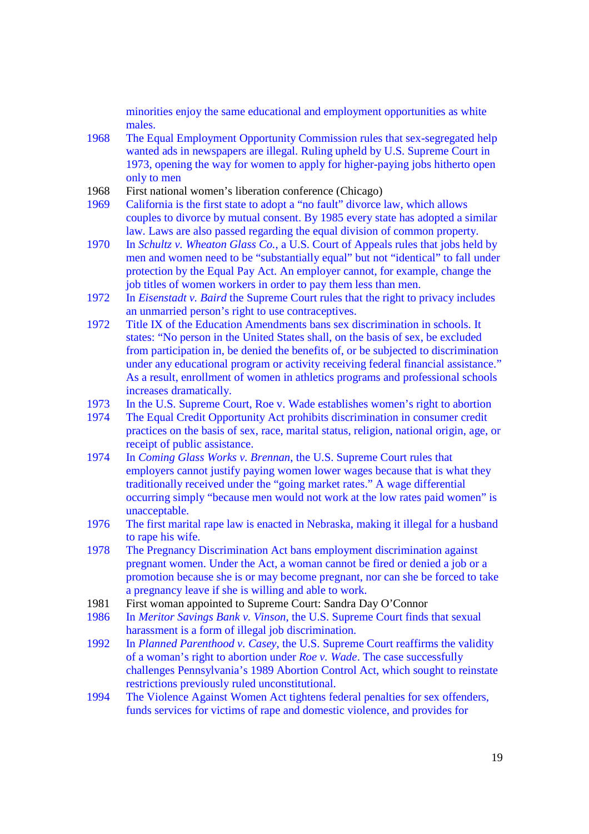minorities enjoy the same educational and employment opportunities as white males.

- 1968 The Equal Employment Opportunity Commission rules that sex-segregated help wanted ads in newspapers are illegal. Ruling upheld by U.S. Supreme Court in 1973, opening the way for women to apply for higher-paying jobs hitherto open only to men
- 1968 First national women's liberation conference (Chicago)
- 1969 California is the first state to adopt a "no fault" divorce law, which allows couples to divorce by mutual consent. By 1985 every state has adopted a similar law. Laws are also passed regarding the equal division of common property.
- 1970 In *Schultz v. Wheaton Glass Co.*, a U.S. Court of Appeals rules that jobs held by men and women need to be "substantially equal" but not "identical" to fall under protection by the Equal Pay Act. An employer cannot, for example, change the job titles of women workers in order to pay them less than men.
- 1972 In *Eisenstadt v. Baird* the Supreme Court rules that the right to privacy includes an unmarried person's right to use contraceptives.
- 1972 Title IX of the Education Amendments bans sex discrimination in schools. It states: "No person in the United States shall, on the basis of sex, be excluded from participation in, be denied the benefits of, or be subjected to discrimination under any educational program or activity receiving federal financial assistance." As a result, enrollment of women in athletics programs and professional schools increases dramatically.
- 1973 In the U.S. Supreme Court, Roe v. Wade establishes women's right to abortion
- 1974 The Equal Credit Opportunity Act prohibits discrimination in consumer credit practices on the basis of sex, race, marital status, religion, national origin, age, or receipt of public assistance.
- 1974 In *Coming Glass Works v. Brennan*, the U.S. Supreme Court rules that employers cannot justify paying women lower wages because that is what they traditionally received under the "going market rates." A wage differential occurring simply "because men would not work at the low rates paid women" is unacceptable.
- 1976 The first marital rape law is enacted in Nebraska, making it illegal for a husband to rape his wife.
- 1978 The Pregnancy Discrimination Act bans employment discrimination against pregnant women. Under the Act, a woman cannot be fired or denied a job or a promotion because she is or may become pregnant, nor can she be forced to take a pregnancy leave if she is willing and able to work.
- 1981 First woman appointed to Supreme Court: Sandra Day O'Connor
- 1986 In *Meritor Savings Bank v. Vinson*, the U.S. Supreme Court finds that sexual harassment is a form of illegal job discrimination.
- 1992 In *Planned Parenthood v. Casey*, the U.S. Supreme Court reaffirms the validity of a woman's right to abortion under *Roe v. Wade*. The case successfully challenges Pennsylvania's 1989 Abortion Control Act, which sought to reinstate restrictions previously ruled unconstitutional.
- 1994 The Violence Against Women Act tightens federal penalties for sex offenders, funds services for victims of rape and domestic violence, and provides for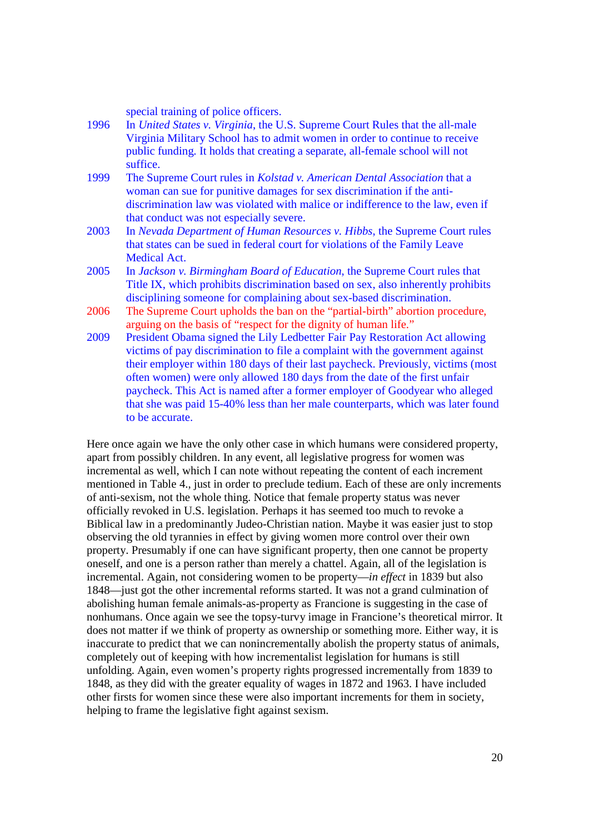special training of police officers.

- 1996 In *United States v. Virginia*, the U.S. Supreme Court Rules that the all-male Virginia Military School has to admit women in order to continue to receive public funding. It holds that creating a separate, all-female school will not suffice.
- 1999 The Supreme Court rules in *Kolstad v. American Dental Association* that a woman can sue for punitive damages for sex discrimination if the antidiscrimination law was violated with malice or indifference to the law, even if that conduct was not especially severe.
- 2003 In *Nevada Department of Human Resources v. Hibbs*, the Supreme Court rules that states can be sued in federal court for violations of the Family Leave Medical Act.
- 2005 In *Jackson v. Birmingham Board of Education*, the Supreme Court rules that Title IX, which prohibits discrimination based on sex, also inherently prohibits disciplining someone for complaining about sex-based discrimination.
- 2006 The Supreme Court upholds the ban on the "partial-birth" abortion procedure, arguing on the basis of "respect for the dignity of human life."
- 2009 President Obama signed the Lily Ledbetter Fair Pay Restoration Act allowing victims of pay discrimination to file a complaint with the government against their employer within 180 days of their last paycheck. Previously, victims (most often women) were only allowed 180 days from the date of the first unfair paycheck. This Act is named after a former employer of Goodyear who alleged that she was paid 15-40% less than her male counterparts, which was later found to be accurate.

Here once again we have the only other case in which humans were considered property, apart from possibly children. In any event, all legislative progress for women was incremental as well, which I can note without repeating the content of each increment mentioned in Table 4., just in order to preclude tedium. Each of these are only increments of anti-sexism, not the whole thing. Notice that female property status was never officially revoked in U.S. legislation. Perhaps it has seemed too much to revoke a Biblical law in a predominantly Judeo-Christian nation. Maybe it was easier just to stop observing the old tyrannies in effect by giving women more control over their own property. Presumably if one can have significant property, then one cannot be property oneself, and one is a person rather than merely a chattel. Again, all of the legislation is incremental. Again, not considering women to be property—*in effect* in 1839 but also 1848—just got the other incremental reforms started. It was not a grand culmination of abolishing human female animals-as-property as Francione is suggesting in the case of nonhumans. Once again we see the topsy-turvy image in Francione's theoretical mirror. It does not matter if we think of property as ownership or something more. Either way, it is inaccurate to predict that we can nonincrementally abolish the property status of animals, completely out of keeping with how incrementalist legislation for humans is still unfolding. Again, even women's property rights progressed incrementally from 1839 to 1848, as they did with the greater equality of wages in 1872 and 1963. I have included other firsts for women since these were also important increments for them in society, helping to frame the legislative fight against sexism.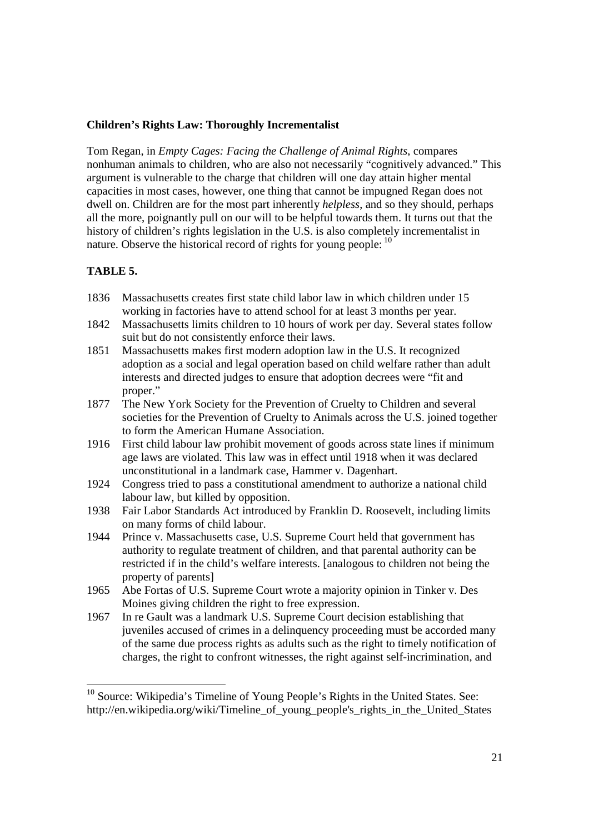### **Children's Rights Law: Thoroughly Incrementalist**

Tom Regan, in *Empty Cages: Facing the Challenge of Animal Rights*, compares nonhuman animals to children, who are also not necessarily "cognitively advanced." This argument is vulnerable to the charge that children will one day attain higher mental capacities in most cases, however, one thing that cannot be impugned Regan does not dwell on. Children are for the most part inherently *helpless*, and so they should, perhaps all the more, poignantly pull on our will to be helpful towards them. It turns out that the history of children's rights legislation in the U.S. is also completely incrementalist in nature. Observe the historical record of rights for young people: <sup>10</sup>

## **TABLE 5.**

-

- 1836 Massachusetts creates first state child labor law in which children under 15 working in factories have to attend school for at least 3 months per year.
- 1842 Massachusetts limits children to 10 hours of work per day. Several states follow suit but do not consistently enforce their laws.
- 1851 Massachusetts makes first modern adoption law in the U.S. It recognized adoption as a social and legal operation based on child welfare rather than adult interests and directed judges to ensure that adoption decrees were "fit and proper."
- 1877 The New York Society for the Prevention of Cruelty to Children and several societies for the Prevention of Cruelty to Animals across the U.S. joined together to form the American Humane Association.
- 1916 First child labour law prohibit movement of goods across state lines if minimum age laws are violated. This law was in effect until 1918 when it was declared unconstitutional in a landmark case, Hammer v. Dagenhart.
- 1924 Congress tried to pass a constitutional amendment to authorize a national child labour law, but killed by opposition.
- 1938 Fair Labor Standards Act introduced by Franklin D. Roosevelt, including limits on many forms of child labour.
- 1944 Prince v. Massachusetts case, U.S. Supreme Court held that government has authority to regulate treatment of children, and that parental authority can be restricted if in the child's welfare interests. [analogous to children not being the property of parents]
- 1965 Abe Fortas of U.S. Supreme Court wrote a majority opinion in Tinker v. Des Moines giving children the right to free expression.
- 1967 In re Gault was a landmark U.S. Supreme Court decision establishing that juveniles accused of crimes in a delinquency proceeding must be accorded many of the same due process rights as adults such as the right to timely notification of charges, the right to confront witnesses, the right against self-incrimination, and

<sup>&</sup>lt;sup>10</sup> Source: Wikipedia's Timeline of Young People's Rights in the United States. See: http://en.wikipedia.org/wiki/Timeline of young people's rights in the United States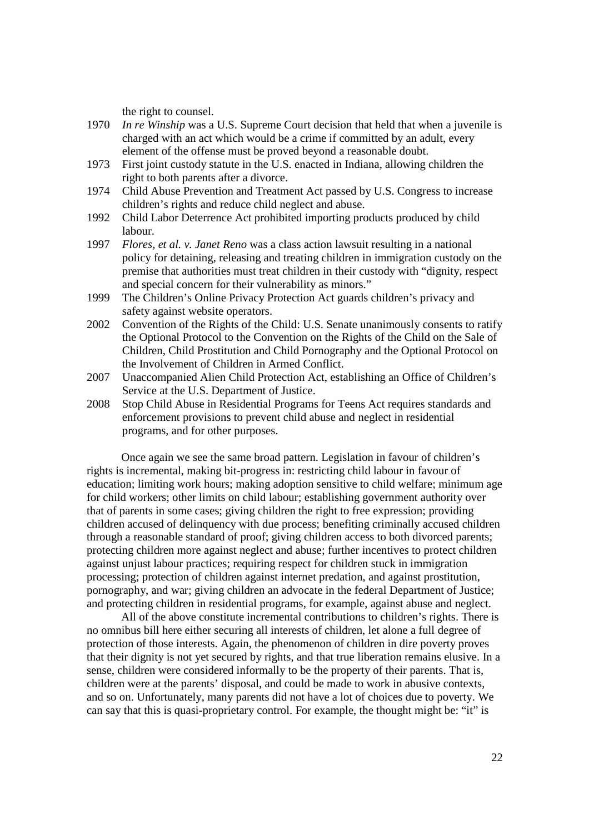the right to counsel.

- 1970 *In re Winship* was a U.S. Supreme Court decision that held that when a juvenile is charged with an act which would be a crime if committed by an adult, every element of the offense must be proved beyond a reasonable doubt.
- 1973 First joint custody statute in the U.S. enacted in Indiana, allowing children the right to both parents after a divorce.
- 1974 Child Abuse Prevention and Treatment Act passed by U.S. Congress to increase children's rights and reduce child neglect and abuse.
- 1992 Child Labor Deterrence Act prohibited importing products produced by child labour.
- 1997 *Flores, et al. v. Janet Reno* was a class action lawsuit resulting in a national policy for detaining, releasing and treating children in immigration custody on the premise that authorities must treat children in their custody with "dignity, respect and special concern for their vulnerability as minors."
- 1999 The Children's Online Privacy Protection Act guards children's privacy and safety against website operators.
- 2002 Convention of the Rights of the Child: U.S. Senate unanimously consents to ratify the Optional Protocol to the Convention on the Rights of the Child on the Sale of Children, Child Prostitution and Child Pornography and the Optional Protocol on the Involvement of Children in Armed Conflict.
- 2007 Unaccompanied Alien Child Protection Act, establishing an Office of Children's Service at the U.S. Department of Justice.
- 2008 Stop Child Abuse in Residential Programs for Teens Act requires standards and enforcement provisions to prevent child abuse and neglect in residential programs, and for other purposes.

 Once again we see the same broad pattern. Legislation in favour of children's rights is incremental, making bit-progress in: restricting child labour in favour of education; limiting work hours; making adoption sensitive to child welfare; minimum age for child workers; other limits on child labour; establishing government authority over that of parents in some cases; giving children the right to free expression; providing children accused of delinquency with due process; benefiting criminally accused children through a reasonable standard of proof; giving children access to both divorced parents; protecting children more against neglect and abuse; further incentives to protect children against unjust labour practices; requiring respect for children stuck in immigration processing; protection of children against internet predation, and against prostitution, pornography, and war; giving children an advocate in the federal Department of Justice; and protecting children in residential programs, for example, against abuse and neglect.

 All of the above constitute incremental contributions to children's rights. There is no omnibus bill here either securing all interests of children, let alone a full degree of protection of those interests. Again, the phenomenon of children in dire poverty proves that their dignity is not yet secured by rights, and that true liberation remains elusive. In a sense, children were considered informally to be the property of their parents. That is, children were at the parents' disposal, and could be made to work in abusive contexts, and so on. Unfortunately, many parents did not have a lot of choices due to poverty. We can say that this is quasi-proprietary control. For example, the thought might be: "it" is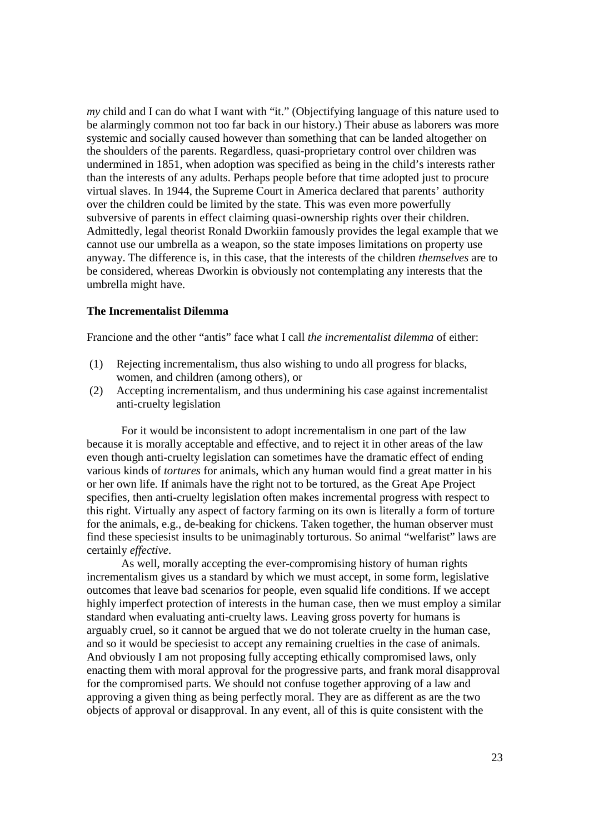*my* child and I can do what I want with "it." (Objectifying language of this nature used to be alarmingly common not too far back in our history.) Their abuse as laborers was more systemic and socially caused however than something that can be landed altogether on the shoulders of the parents. Regardless, quasi-proprietary control over children was undermined in 1851, when adoption was specified as being in the child's interests rather than the interests of any adults. Perhaps people before that time adopted just to procure virtual slaves. In 1944, the Supreme Court in America declared that parents' authority over the children could be limited by the state. This was even more powerfully subversive of parents in effect claiming quasi-ownership rights over their children. Admittedly, legal theorist Ronald Dworkiin famously provides the legal example that we cannot use our umbrella as a weapon, so the state imposes limitations on property use anyway. The difference is, in this case, that the interests of the children *themselves* are to be considered, whereas Dworkin is obviously not contemplating any interests that the umbrella might have.

#### **The Incrementalist Dilemma**

Francione and the other "antis" face what I call *the incrementalist dilemma* of either:

- (1) Rejecting incrementalism, thus also wishing to undo all progress for blacks, women, and children (among others), or
- (2) Accepting incrementalism, and thus undermining his case against incrementalist anti-cruelty legislation

 For it would be inconsistent to adopt incrementalism in one part of the law because it is morally acceptable and effective, and to reject it in other areas of the law even though anti-cruelty legislation can sometimes have the dramatic effect of ending various kinds of *tortures* for animals, which any human would find a great matter in his or her own life. If animals have the right not to be tortured, as the Great Ape Project specifies, then anti-cruelty legislation often makes incremental progress with respect to this right. Virtually any aspect of factory farming on its own is literally a form of torture for the animals, e.g., de-beaking for chickens. Taken together, the human observer must find these speciesist insults to be unimaginably torturous. So animal "welfarist" laws are certainly *effective*.

 As well, morally accepting the ever-compromising history of human rights incrementalism gives us a standard by which we must accept, in some form, legislative outcomes that leave bad scenarios for people, even squalid life conditions. If we accept highly imperfect protection of interests in the human case, then we must employ a similar standard when evaluating anti-cruelty laws. Leaving gross poverty for humans is arguably cruel, so it cannot be argued that we do not tolerate cruelty in the human case, and so it would be speciesist to accept any remaining cruelties in the case of animals. And obviously I am not proposing fully accepting ethically compromised laws, only enacting them with moral approval for the progressive parts, and frank moral disapproval for the compromised parts. We should not confuse together approving of a law and approving a given thing as being perfectly moral. They are as different as are the two objects of approval or disapproval. In any event, all of this is quite consistent with the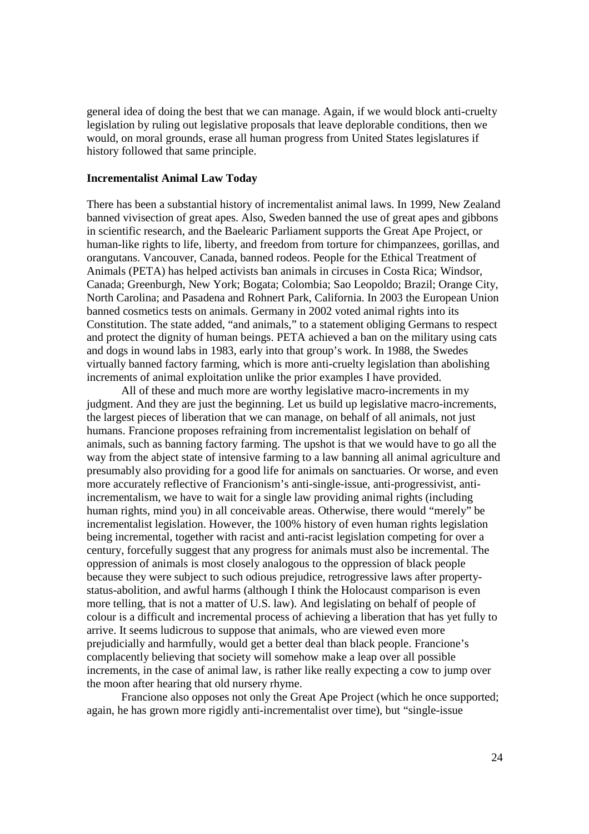general idea of doing the best that we can manage. Again, if we would block anti-cruelty legislation by ruling out legislative proposals that leave deplorable conditions, then we would, on moral grounds, erase all human progress from United States legislatures if history followed that same principle.

#### **Incrementalist Animal Law Today**

There has been a substantial history of incrementalist animal laws. In 1999, New Zealand banned vivisection of great apes. Also, Sweden banned the use of great apes and gibbons in scientific research, and the Baelearic Parliament supports the Great Ape Project, or human-like rights to life, liberty, and freedom from torture for chimpanzees, gorillas, and orangutans. Vancouver, Canada, banned rodeos. People for the Ethical Treatment of Animals (PETA) has helped activists ban animals in circuses in Costa Rica; Windsor, Canada; Greenburgh, New York; Bogata; Colombia; Sao Leopoldo; Brazil; Orange City, North Carolina; and Pasadena and Rohnert Park, California. In 2003 the European Union banned cosmetics tests on animals. Germany in 2002 voted animal rights into its Constitution. The state added, "and animals," to a statement obliging Germans to respect and protect the dignity of human beings. PETA achieved a ban on the military using cats and dogs in wound labs in 1983, early into that group's work. In 1988, the Swedes virtually banned factory farming, which is more anti-cruelty legislation than abolishing increments of animal exploitation unlike the prior examples I have provided.

 All of these and much more are worthy legislative macro-increments in my judgment. And they are just the beginning. Let us build up legislative macro-increments, the largest pieces of liberation that we can manage, on behalf of all animals, not just humans. Francione proposes refraining from incrementalist legislation on behalf of animals, such as banning factory farming. The upshot is that we would have to go all the way from the abject state of intensive farming to a law banning all animal agriculture and presumably also providing for a good life for animals on sanctuaries. Or worse, and even more accurately reflective of Francionism's anti-single-issue, anti-progressivist, antiincrementalism, we have to wait for a single law providing animal rights (including human rights, mind you) in all conceivable areas. Otherwise, there would "merely" be incrementalist legislation. However, the 100% history of even human rights legislation being incremental, together with racist and anti-racist legislation competing for over a century, forcefully suggest that any progress for animals must also be incremental. The oppression of animals is most closely analogous to the oppression of black people because they were subject to such odious prejudice, retrogressive laws after propertystatus-abolition, and awful harms (although I think the Holocaust comparison is even more telling, that is not a matter of U.S. law). And legislating on behalf of people of colour is a difficult and incremental process of achieving a liberation that has yet fully to arrive. It seems ludicrous to suppose that animals, who are viewed even more prejudicially and harmfully, would get a better deal than black people. Francione's complacently believing that society will somehow make a leap over all possible increments, in the case of animal law, is rather like really expecting a cow to jump over the moon after hearing that old nursery rhyme.

 Francione also opposes not only the Great Ape Project (which he once supported; again, he has grown more rigidly anti-incrementalist over time), but "single-issue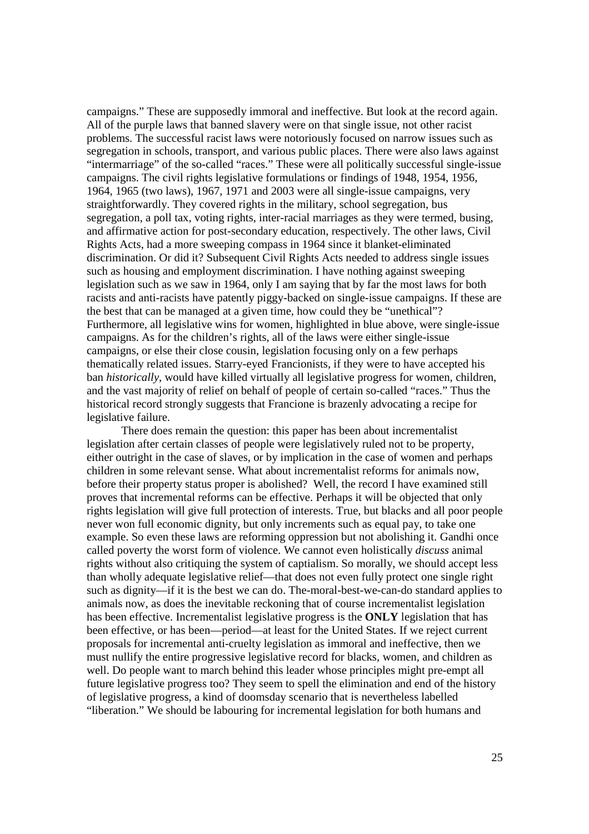campaigns." These are supposedly immoral and ineffective. But look at the record again. All of the purple laws that banned slavery were on that single issue, not other racist problems. The successful racist laws were notoriously focused on narrow issues such as segregation in schools, transport, and various public places. There were also laws against "intermarriage" of the so-called "races." These were all politically successful single-issue campaigns. The civil rights legislative formulations or findings of 1948, 1954, 1956, 1964, 1965 (two laws), 1967, 1971 and 2003 were all single-issue campaigns, very straightforwardly. They covered rights in the military, school segregation, bus segregation, a poll tax, voting rights, inter-racial marriages as they were termed, busing, and affirmative action for post-secondary education, respectively. The other laws, Civil Rights Acts, had a more sweeping compass in 1964 since it blanket-eliminated discrimination. Or did it? Subsequent Civil Rights Acts needed to address single issues such as housing and employment discrimination. I have nothing against sweeping legislation such as we saw in 1964, only I am saying that by far the most laws for both racists and anti-racists have patently piggy-backed on single-issue campaigns. If these are the best that can be managed at a given time, how could they be "unethical"? Furthermore, all legislative wins for women, highlighted in blue above, were single-issue campaigns. As for the children's rights, all of the laws were either single-issue campaigns, or else their close cousin, legislation focusing only on a few perhaps thematically related issues. Starry-eyed Francionists, if they were to have accepted his ban *historically*, would have killed virtually all legislative progress for women, children, and the vast majority of relief on behalf of people of certain so-called "races." Thus the historical record strongly suggests that Francione is brazenly advocating a recipe for legislative failure.

 There does remain the question: this paper has been about incrementalist legislation after certain classes of people were legislatively ruled not to be property, either outright in the case of slaves, or by implication in the case of women and perhaps children in some relevant sense. What about incrementalist reforms for animals now, before their property status proper is abolished? Well, the record I have examined still proves that incremental reforms can be effective. Perhaps it will be objected that only rights legislation will give full protection of interests. True, but blacks and all poor people never won full economic dignity, but only increments such as equal pay, to take one example. So even these laws are reforming oppression but not abolishing it. Gandhi once called poverty the worst form of violence. We cannot even holistically *discuss* animal rights without also critiquing the system of captialism. So morally, we should accept less than wholly adequate legislative relief—that does not even fully protect one single right such as dignity—if it is the best we can do. The-moral-best-we-can-do standard applies to animals now, as does the inevitable reckoning that of course incrementalist legislation has been effective. Incrementalist legislative progress is the **ONLY** legislation that has been effective, or has been—period—at least for the United States. If we reject current proposals for incremental anti-cruelty legislation as immoral and ineffective, then we must nullify the entire progressive legislative record for blacks, women, and children as well. Do people want to march behind this leader whose principles might pre-empt all future legislative progress too? They seem to spell the elimination and end of the history of legislative progress, a kind of doomsday scenario that is nevertheless labelled "liberation." We should be labouring for incremental legislation for both humans and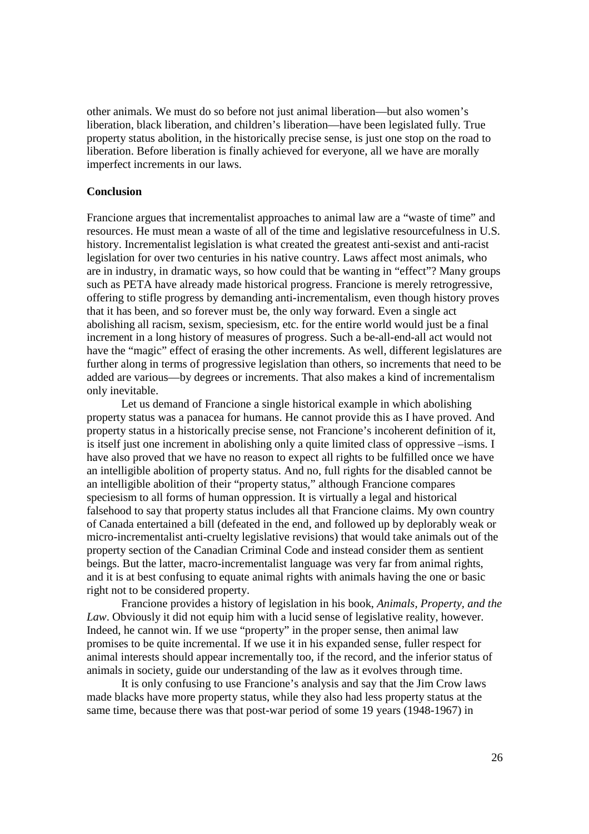other animals. We must do so before not just animal liberation—but also women's liberation, black liberation, and children's liberation—have been legislated fully. True property status abolition, in the historically precise sense, is just one stop on the road to liberation. Before liberation is finally achieved for everyone, all we have are morally imperfect increments in our laws.

## **Conclusion**

Francione argues that incrementalist approaches to animal law are a "waste of time" and resources. He must mean a waste of all of the time and legislative resourcefulness in U.S. history. Incrementalist legislation is what created the greatest anti-sexist and anti-racist legislation for over two centuries in his native country. Laws affect most animals, who are in industry, in dramatic ways, so how could that be wanting in "effect"? Many groups such as PETA have already made historical progress. Francione is merely retrogressive, offering to stifle progress by demanding anti-incrementalism, even though history proves that it has been, and so forever must be, the only way forward. Even a single act abolishing all racism, sexism, speciesism, etc. for the entire world would just be a final increment in a long history of measures of progress. Such a be-all-end-all act would not have the "magic" effect of erasing the other increments. As well, different legislatures are further along in terms of progressive legislation than others, so increments that need to be added are various—by degrees or increments. That also makes a kind of incrementalism only inevitable.

 Let us demand of Francione a single historical example in which abolishing property status was a panacea for humans. He cannot provide this as I have proved. And property status in a historically precise sense, not Francione's incoherent definition of it, is itself just one increment in abolishing only a quite limited class of oppressive –isms. I have also proved that we have no reason to expect all rights to be fulfilled once we have an intelligible abolition of property status. And no, full rights for the disabled cannot be an intelligible abolition of their "property status," although Francione compares speciesism to all forms of human oppression. It is virtually a legal and historical falsehood to say that property status includes all that Francione claims. My own country of Canada entertained a bill (defeated in the end, and followed up by deplorably weak or micro-incrementalist anti-cruelty legislative revisions) that would take animals out of the property section of the Canadian Criminal Code and instead consider them as sentient beings. But the latter, macro-incrementalist language was very far from animal rights, and it is at best confusing to equate animal rights with animals having the one or basic right not to be considered property.

 Francione provides a history of legislation in his book, *Animals, Property, and the Law*. Obviously it did not equip him with a lucid sense of legislative reality, however. Indeed, he cannot win. If we use "property" in the proper sense, then animal law promises to be quite incremental. If we use it in his expanded sense, fuller respect for animal interests should appear incrementally too, if the record, and the inferior status of animals in society, guide our understanding of the law as it evolves through time.

 It is only confusing to use Francione's analysis and say that the Jim Crow laws made blacks have more property status, while they also had less property status at the same time, because there was that post-war period of some 19 years (1948-1967) in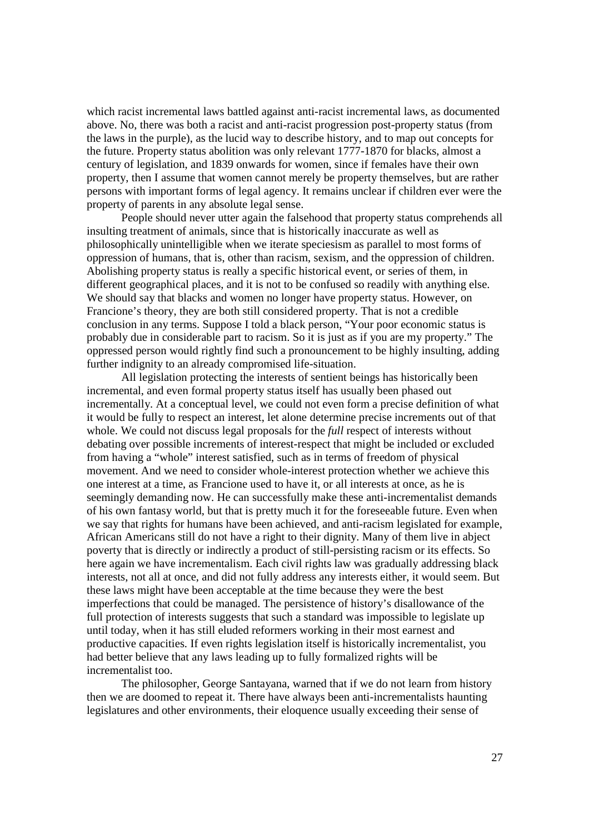which racist incremental laws battled against anti-racist incremental laws, as documented above. No, there was both a racist and anti-racist progression post-property status (from the laws in the purple), as the lucid way to describe history, and to map out concepts for the future. Property status abolition was only relevant 1777-1870 for blacks, almost a century of legislation, and 1839 onwards for women, since if females have their own property, then I assume that women cannot merely be property themselves, but are rather persons with important forms of legal agency. It remains unclear if children ever were the property of parents in any absolute legal sense.

 People should never utter again the falsehood that property status comprehends all insulting treatment of animals, since that is historically inaccurate as well as philosophically unintelligible when we iterate speciesism as parallel to most forms of oppression of humans, that is, other than racism, sexism, and the oppression of children. Abolishing property status is really a specific historical event, or series of them, in different geographical places, and it is not to be confused so readily with anything else. We should say that blacks and women no longer have property status. However, on Francione's theory, they are both still considered property. That is not a credible conclusion in any terms. Suppose I told a black person, "Your poor economic status is probably due in considerable part to racism. So it is just as if you are my property." The oppressed person would rightly find such a pronouncement to be highly insulting, adding further indignity to an already compromised life-situation.

 All legislation protecting the interests of sentient beings has historically been incremental, and even formal property status itself has usually been phased out incrementally. At a conceptual level, we could not even form a precise definition of what it would be fully to respect an interest, let alone determine precise increments out of that whole. We could not discuss legal proposals for the *full* respect of interests without debating over possible increments of interest-respect that might be included or excluded from having a "whole" interest satisfied, such as in terms of freedom of physical movement. And we need to consider whole-interest protection whether we achieve this one interest at a time, as Francione used to have it, or all interests at once, as he is seemingly demanding now. He can successfully make these anti-incrementalist demands of his own fantasy world, but that is pretty much it for the foreseeable future. Even when we say that rights for humans have been achieved, and anti-racism legislated for example, African Americans still do not have a right to their dignity. Many of them live in abject poverty that is directly or indirectly a product of still-persisting racism or its effects. So here again we have incrementalism. Each civil rights law was gradually addressing black interests, not all at once, and did not fully address any interests either, it would seem. But these laws might have been acceptable at the time because they were the best imperfections that could be managed. The persistence of history's disallowance of the full protection of interests suggests that such a standard was impossible to legislate up until today, when it has still eluded reformers working in their most earnest and productive capacities. If even rights legislation itself is historically incrementalist, you had better believe that any laws leading up to fully formalized rights will be incrementalist too.

 The philosopher, George Santayana, warned that if we do not learn from history then we are doomed to repeat it. There have always been anti-incrementalists haunting legislatures and other environments, their eloquence usually exceeding their sense of